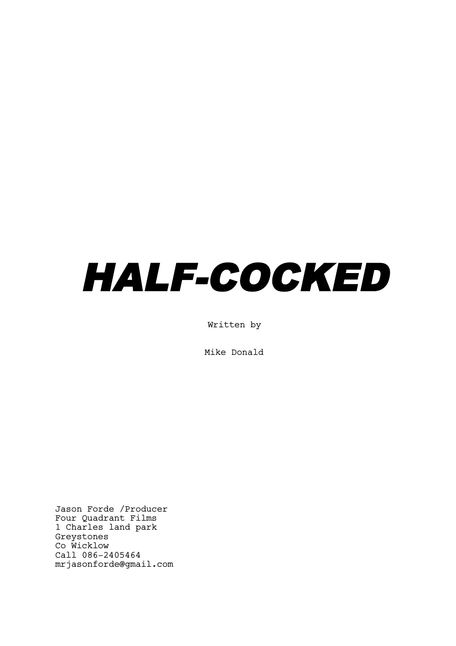# HALF-COCKED

Written by

Mike Donald

Jason Forde /Producer Four Quadrant Films 1 Charles land park Greystones Co Wicklow Call 086-2405464 mrjasonforde@gmail.com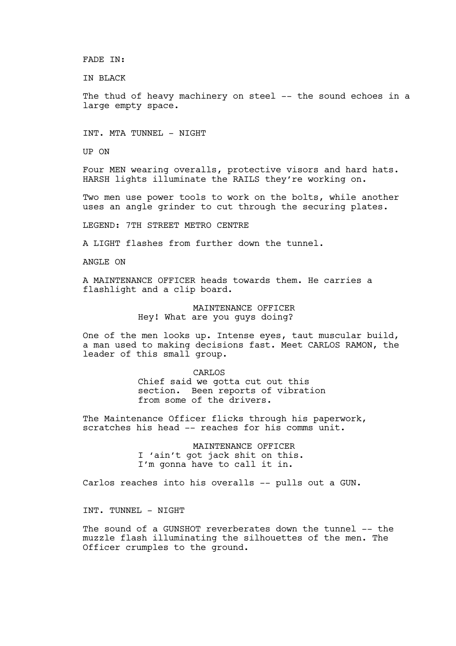# FADE IN:

IN BLACK

The thud of heavy machinery on steel -- the sound echoes in a large empty space.

INT. MTA TUNNEL - NIGHT

UP ON

Four MEN wearing overalls, protective visors and hard hats. HARSH lights illuminate the RAILS they're working on.

Two men use power tools to work on the bolts, while another uses an angle grinder to cut through the securing plates.

LEGEND: 7TH STREET METRO CENTRE

A LIGHT flashes from further down the tunnel.

ANGLE ON

A MAINTENANCE OFFICER heads towards them. He carries a flashlight and a clip board.

> MAINTENANCE OFFICER Hey! What are you guys doing?

One of the men looks up. Intense eyes, taut muscular build, a man used to making decisions fast. Meet CARLOS RAMON, the leader of this small group.

> CARLOS Chief said we gotta cut out this section. Been reports of vibration from some of the drivers.

The Maintenance Officer flicks through his paperwork, scratches his head -- reaches for his comms unit.

> MAINTENANCE OFFICER I 'ain't got jack shit on this. I'm gonna have to call it in.

Carlos reaches into his overalls -- pulls out a GUN.

INT. TUNNEL - NIGHT

The sound of a GUNSHOT reverberates down the tunnel -- the muzzle flash illuminating the silhouettes of the men. The Officer crumples to the ground.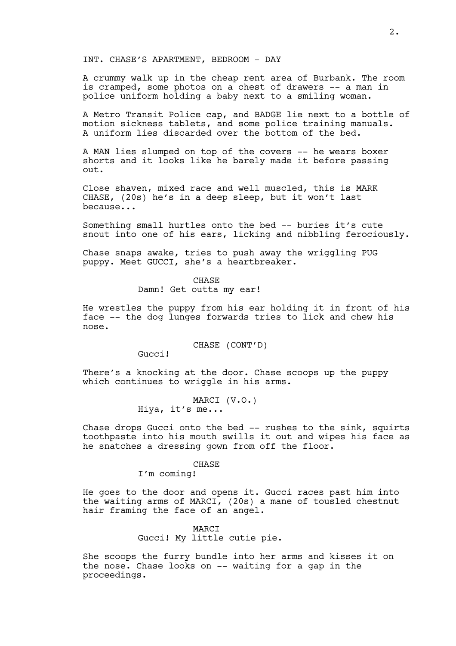# INT. CHASE'S APARTMENT, BEDROOM - DAY

A crummy walk up in the cheap rent area of Burbank. The room is cramped, some photos on a chest of drawers -- a man in police uniform holding a baby next to a smiling woman.

A Metro Transit Police cap, and BADGE lie next to a bottle of motion sickness tablets, and some police training manuals. A uniform lies discarded over the bottom of the bed.

A MAN lies slumped on top of the covers -- he wears boxer shorts and it looks like he barely made it before passing out.

Close shaven, mixed race and well muscled, this is MARK CHASE, (20s) he's in a deep sleep, but it won't last because...

Something small hurtles onto the bed -- buries it's cute snout into one of his ears, licking and nibbling ferociously.

Chase snaps awake, tries to push away the wriggling PUG puppy. Meet GUCCI, she's a heartbreaker.

## CHASE

Damn! Get outta my ear!

He wrestles the puppy from his ear holding it in front of his face -- the dog lunges forwards tries to lick and chew his nose.

CHASE (CONT'D)

Gucci!

There's a knocking at the door. Chase scoops up the puppy which continues to wriggle in his arms.

> MARCI (V.O.) Hiya, it's me...

Chase drops Gucci onto the bed -- rushes to the sink, squirts toothpaste into his mouth swills it out and wipes his face as he snatches a dressing gown from off the floor.

#### CHASE

I'm coming!

He goes to the door and opens it. Gucci races past him into the waiting arms of MARCI, (20s) a mane of tousled chestnut hair framing the face of an angel.

> MARCI Gucci! My little cutie pie.

She scoops the furry bundle into her arms and kisses it on the nose. Chase looks on -- waiting for a gap in the proceedings.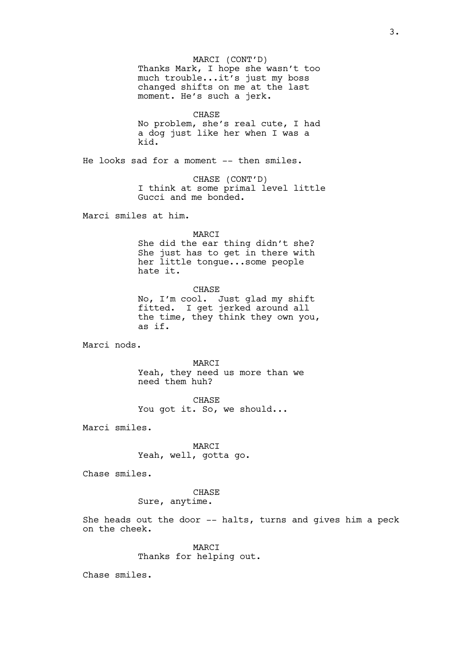MARCI (CONT'D) Thanks Mark, I hope she wasn't too much trouble...it's just my boss changed shifts on me at the last moment. He's such a jerk. CHASE No problem, she's real cute, I had a dog just like her when I was a kid. He looks sad for a moment -- then smiles. CHASE (CONT'D) I think at some primal level little Gucci and me bonded.

Marci smiles at him.

# MARCI

She did the ear thing didn't she? She just has to get in there with her little tongue...some people hate it.

CHASE No, I'm cool. Just glad my shift fitted. I get jerked around all the time, they think they own you, as if.

Marci nods.

MARCI Yeah, they need us more than we need them huh?

CHASE You got it. So, we should...

Marci smiles.

MARCI Yeah, well, gotta go.

Chase smiles.

# **CHASE** Sure, anytime.

She heads out the door -- halts, turns and gives him a peck on the cheek.

> MARCI Thanks for helping out.

Chase smiles.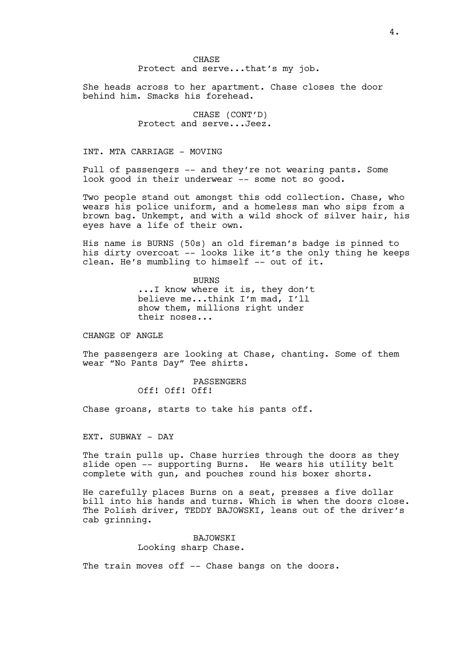CHASE Protect and serve...that's my job.

She heads across to her apartment. Chase closes the door behind him. Smacks his forehead.

> CHASE (CONT'D) Protect and serve...Jeez.

INT. MTA CARRIAGE - MOVING

Full of passengers -- and they're not wearing pants. Some look good in their underwear -- some not so good.

Two people stand out amongst this odd collection. Chase, who wears his police uniform, and a homeless man who sips from a brown bag. Unkempt, and with a wild shock of silver hair, his eyes have a life of their own.

His name is BURNS (50s) an old fireman's badge is pinned to his dirty overcoat -- looks like it's the only thing he keeps clean. He's mumbling to himself -- out of it.

> BURNS ...I know where it is, they don't believe me...think I'm mad, I'll show them, millions right under their noses...

CHANGE OF ANGLE

The passengers are looking at Chase, chanting. Some of them wear "No Pants Day" Tee shirts.

> PASSENGERS Off! Off! Off!

Chase groans, starts to take his pants off.

EXT. SUBWAY - DAY

The train pulls up. Chase hurries through the doors as they slide open -- supporting Burns. He wears his utility belt complete with gun, and pouches round his boxer shorts.

He carefully places Burns on a seat, presses a five dollar bill into his hands and turns. Which is when the doors close. The Polish driver, TEDDY BAJOWSKI, leans out of the driver's cab grinning.

# BAJOWSKI Looking sharp Chase.

The train moves off -- Chase bangs on the doors.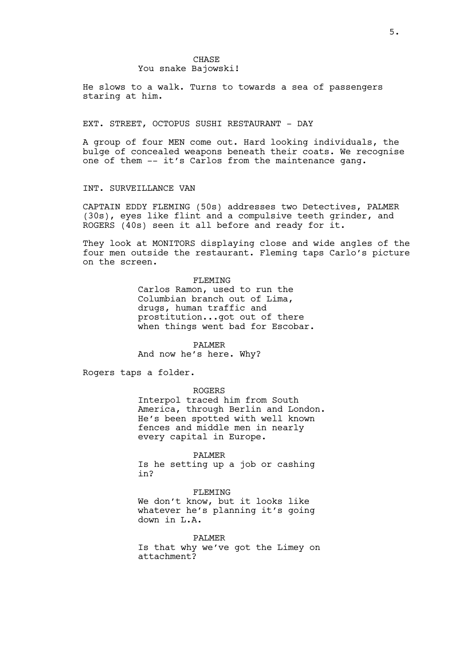He slows to a walk. Turns to towards a sea of passengers staring at him.

# EXT. STREET, OCTOPUS SUSHI RESTAURANT - DAY

A group of four MEN come out. Hard looking individuals, the bulge of concealed weapons beneath their coats. We recognise one of them -- it's Carlos from the maintenance gang.

# INT. SURVEILLANCE VAN

CAPTAIN EDDY FLEMING (50s) addresses two Detectives, PALMER (30s), eyes like flint and a compulsive teeth grinder, and ROGERS (40s) seen it all before and ready for it.

They look at MONITORS displaying close and wide angles of the four men outside the restaurant. Fleming taps Carlo's picture on the screen.

#### FLEMING

Carlos Ramon, used to run the Columbian branch out of Lima, drugs, human traffic and prostitution...got out of there when things went bad for Escobar.

PALMER And now he's here. Why?

Rogers taps a folder.

ROGERS

Interpol traced him from South America, through Berlin and London. He's been spotted with well known fences and middle men in nearly every capital in Europe.

PALMER

Is he setting up a job or cashing in?

# FLEMING

We don't know, but it looks like whatever he's planning it's going down in L.A.

PALMER

Is that why we've got the Limey on attachment?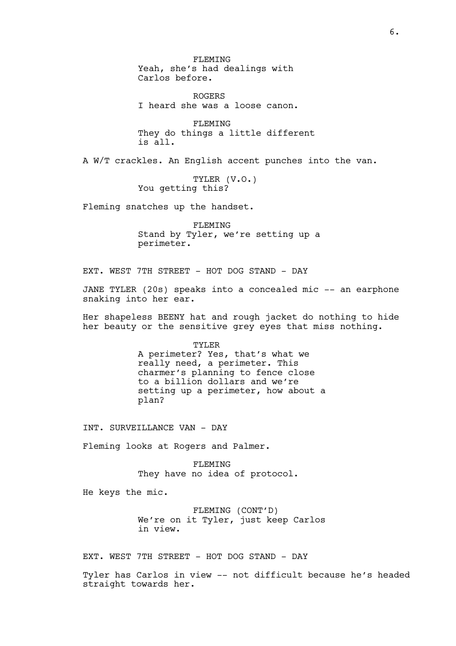FLEMING Yeah, she's had dealings with Carlos before.

ROGERS I heard she was a loose canon.

FLEMING They do things a little different is all.

A W/T crackles. An English accent punches into the van.

TYLER (V.O.) You getting this?

Fleming snatches up the handset.

FLEMING Stand by Tyler, we're setting up a perimeter.

EXT. WEST 7TH STREET - HOT DOG STAND - DAY

JANE TYLER (20s) speaks into a concealed mic -- an earphone snaking into her ear.

Her shapeless BEENY hat and rough jacket do nothing to hide her beauty or the sensitive grey eyes that miss nothing.

> TYLER A perimeter? Yes, that's what we really need, a perimeter. This charmer's planning to fence close to a billion dollars and we're setting up a perimeter, how about a plan?

INT. SURVEILLANCE VAN - DAY

Fleming looks at Rogers and Palmer.

FLEMING They have no idea of protocol.

He keys the mic.

FLEMING (CONT'D) We're on it Tyler, just keep Carlos in view.

EXT. WEST 7TH STREET - HOT DOG STAND - DAY

Tyler has Carlos in view -- not difficult because he's headed straight towards her.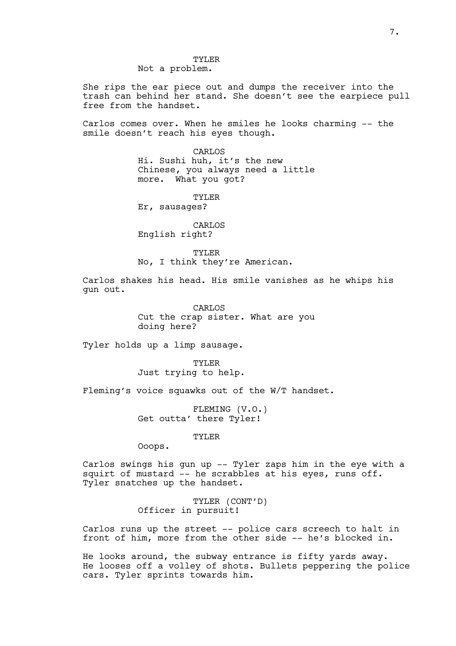TYLER Not a problem.

She rips the ear piece out and dumps the receiver into the trash can behind her stand. She doesn't see the earpiece pull free from the handset.

Carlos comes over. When he smiles he looks charming -- the smile doesn't reach his eyes though.

> CARLOS Hi. Sushi huh, it's the new Chinese, you always need a little more. What you got?

> > TYLER

Er, sausages?

CARLOS English right?

TYLER

No, I think they're American.

Carlos shakes his head. His smile vanishes as he whips his gun out.

> CARLOS Cut the crap sister. What are you doing here?

Tyler holds up a limp sausage.

TYLER Just trying to help.

Fleming's voice squawks out of the W/T handset.

FLEMING (V.O.) Get outta' there Tyler!

TYLER

Ooops.

Carlos swings his gun up -- Tyler zaps him in the eye with a squirt of mustard -- he scrabbles at his eyes, runs off. Tyler snatches up the handset.

> TYLER (CONT'D) Officer in pursuit!

Carlos runs up the street -- police cars screech to halt in front of him, more from the other side -- he's blocked in.

He looks around, the subway entrance is fifty yards away. He looses off a volley of shots. Bullets peppering the police cars. Tyler sprints towards him.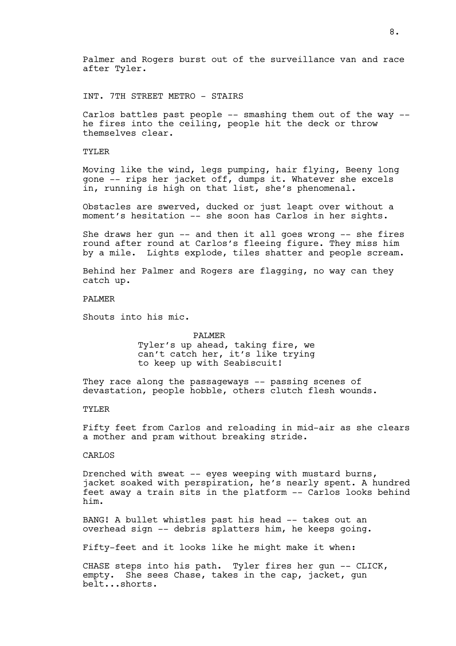Palmer and Rogers burst out of the surveillance van and race after Tyler.

INT. 7TH STREET METRO - STAIRS

Carlos battles past people -- smashing them out of the way - he fires into the ceiling, people hit the deck or throw themselves clear.

TYLER

Moving like the wind, legs pumping, hair flying, Beeny long gone -- rips her jacket off, dumps it. Whatever she excels in, running is high on that list, she's phenomenal.

Obstacles are swerved, ducked or just leapt over without a moment's hesitation -- she soon has Carlos in her sights.

She draws her gun  $-$  and then it all goes wrong  $-$  she fires round after round at Carlos's fleeing figure. They miss him by a mile. Lights explode, tiles shatter and people scream.

Behind her Palmer and Rogers are flagging, no way can they catch up.

PALMER

Shouts into his mic.

PALMER Tyler's up ahead, taking fire, we can't catch her, it's like trying to keep up with Seabiscuit!

They race along the passageways -- passing scenes of devastation, people hobble, others clutch flesh wounds.

TYLER

Fifty feet from Carlos and reloading in mid-air as she clears a mother and pram without breaking stride.

CARLOS

Drenched with sweat -- eyes weeping with mustard burns, jacket soaked with perspiration, he's nearly spent. A hundred feet away a train sits in the platform -- Carlos looks behind him.

BANG! A bullet whistles past his head -- takes out an overhead sign -- debris splatters him, he keeps going.

Fifty-feet and it looks like he might make it when:

CHASE steps into his path. Tyler fires her gun -- CLICK, empty. She sees Chase, takes in the cap, jacket, gun belt...shorts.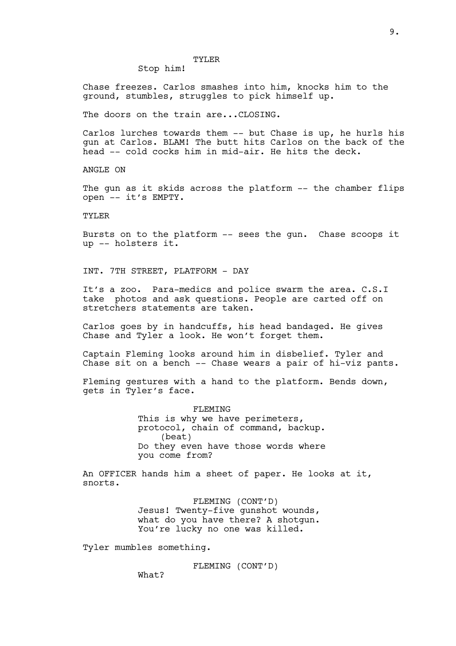#### TYLER

Stop him!

Chase freezes. Carlos smashes into him, knocks him to the ground, stumbles, struggles to pick himself up.

The doors on the train are...CLOSING.

Carlos lurches towards them -- but Chase is up, he hurls his gun at Carlos. BLAM! The butt hits Carlos on the back of the head -- cold cocks him in mid-air. He hits the deck.

ANGLE ON

The gun as it skids across the platform -- the chamber flips open -- it's EMPTY.

TYLER

Bursts on to the platform -- sees the gun. Chase scoops it up -- holsters it.

INT. 7TH STREET, PLATFORM - DAY

It's a zoo. Para-medics and police swarm the area. C.S.I take photos and ask questions. People are carted off on stretchers statements are taken.

Carlos goes by in handcuffs, his head bandaged. He gives Chase and Tyler a look. He won't forget them.

Captain Fleming looks around him in disbelief. Tyler and Chase sit on a bench -- Chase wears a pair of hi-viz pants.

Fleming gestures with a hand to the platform. Bends down, gets in Tyler's face.

> FLEMING This is why we have perimeters, protocol, chain of command, backup. (beat) Do they even have those words where you come from?

An OFFICER hands him a sheet of paper. He looks at it, snorts.

> FLEMING (CONT'D) Jesus! Twenty-five gunshot wounds, what do you have there? A shotgun. You're lucky no one was killed.

Tyler mumbles something.

FLEMING (CONT'D)

What?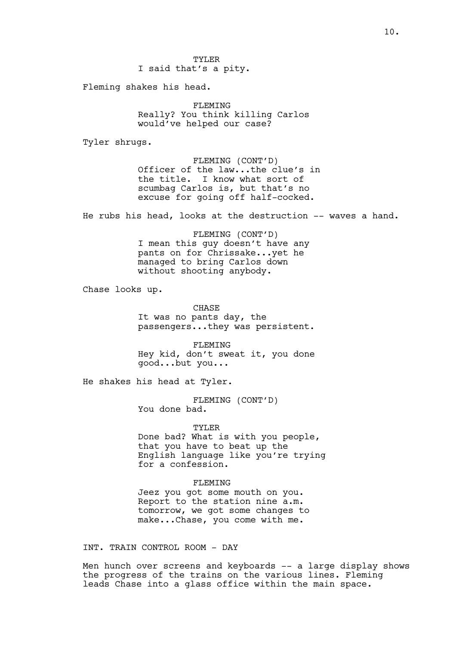Fleming shakes his head.

FLEMING Really? You think killing Carlos would've helped our case?

Tyler shrugs.

FLEMING (CONT'D) Officer of the law...the clue's in the title. I know what sort of scumbag Carlos is, but that's no excuse for going off half-cocked.

He rubs his head, looks at the destruction -- waves a hand.

FLEMING (CONT'D) I mean this guy doesn't have any pants on for Chrissake...yet he managed to bring Carlos down without shooting anybody.

Chase looks up.

CHASE It was no pants day, the passengers...they was persistent.

FLEMING Hey kid, don't sweat it, you done good...but you...

He shakes his head at Tyler.

FLEMING (CONT'D) You done bad.

TYLER Done bad? What is with you people, that you have to beat up the English language like you're trying for a confession.

FLEMING Jeez you got some mouth on you. Report to the station nine a.m. tomorrow, we got some changes to make...Chase, you come with me.

INT. TRAIN CONTROL ROOM - DAY

Men hunch over screens and keyboards -- a large display shows the progress of the trains on the various lines. Fleming leads Chase into a glass office within the main space.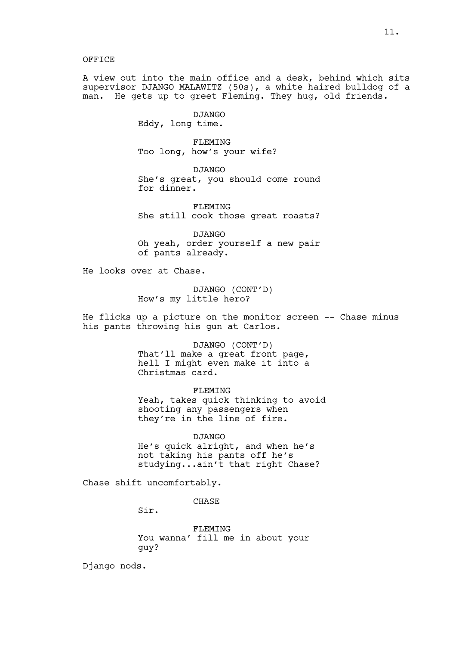#### OFFICE

A view out into the main office and a desk, behind which sits supervisor DJANGO MALAWITZ (50s), a white haired bulldog of a man. He gets up to greet Fleming. They hug, old friends.

> DJANGO Eddy, long time.

FLEMING Too long, how's your wife?

DJANGO She's great, you should come round for dinner.

FLEMING She still cook those great roasts?

DJANGO Oh yeah, order yourself a new pair of pants already.

He looks over at Chase.

DJANGO (CONT'D) How's my little hero?

He flicks up a picture on the monitor screen -- Chase minus his pants throwing his gun at Carlos.

> DJANGO (CONT'D) That'll make a great front page, hell I might even make it into a Christmas card.

FLEMING Yeah, takes quick thinking to avoid shooting any passengers when they're in the line of fire.

DJANGO He's quick alright, and when he's not taking his pants off he's studying...ain't that right Chase?

Chase shift uncomfortably.

CHASE

Sir.

FLEMING You wanna' fill me in about your guy?

Django nods.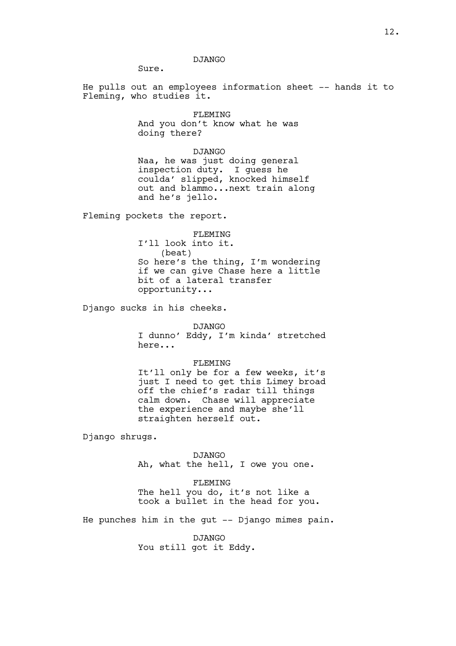# DJANGO

Sure.

He pulls out an employees information sheet -- hands it to Fleming, who studies it.

> FLEMING And you don't know what he was doing there?

DJANGO Naa, he was just doing general inspection duty. I guess he coulda' slipped, knocked himself out and blammo...next train along and he's jello.

Fleming pockets the report.

FLEMING I'll look into it. (beat) So here's the thing, I'm wondering if we can give Chase here a little bit of a lateral transfer opportunity...

Django sucks in his cheeks.

DJANGO

I dunno' Eddy, I'm kinda' stretched here...

FLEMING

It'll only be for a few weeks, it's just I need to get this Limey broad off the chief's radar till things calm down. Chase will appreciate the experience and maybe she'll straighten herself out.

Django shrugs.

DJANGO Ah, what the hell, I owe you one.

FLEMING The hell you do, it's not like a took a bullet in the head for you.

He punches him in the gut -- Django mimes pain.

DJANGO You still got it Eddy.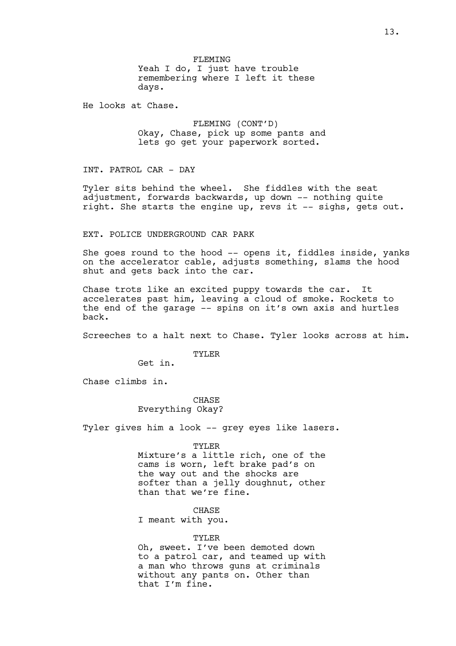FLEMING Yeah I do, I just have trouble remembering where I left it these days.

He looks at Chase.

FLEMING (CONT'D) Okay, Chase, pick up some pants and lets go get your paperwork sorted.

INT. PATROL CAR - DAY

Tyler sits behind the wheel. She fiddles with the seat adjustment, forwards backwards, up down -- nothing quite right. She starts the engine up, revs it -- sighs, gets out.

# EXT. POLICE UNDERGROUND CAR PARK

She goes round to the hood -- opens it, fiddles inside, yanks on the accelerator cable, adjusts something, slams the hood shut and gets back into the car.

Chase trots like an excited puppy towards the car. It accelerates past him, leaving a cloud of smoke. Rockets to the end of the garage -- spins on it's own axis and hurtles back.

Screeches to a halt next to Chase. Tyler looks across at him.

TYLER

Get in.

Chase climbs in.

# CHASE

Everything Okay?

Tyler gives him a look -- grey eyes like lasers.

TYLER

Mixture's a little rich, one of the cams is worn, left brake pad's on the way out and the shocks are softer than a jelly doughnut, other than that we're fine.

# **CHASE**

I meant with you.

#### TYLER

Oh, sweet. I've been demoted down to a patrol car, and teamed up with a man who throws guns at criminals without any pants on. Other than that I'm fine.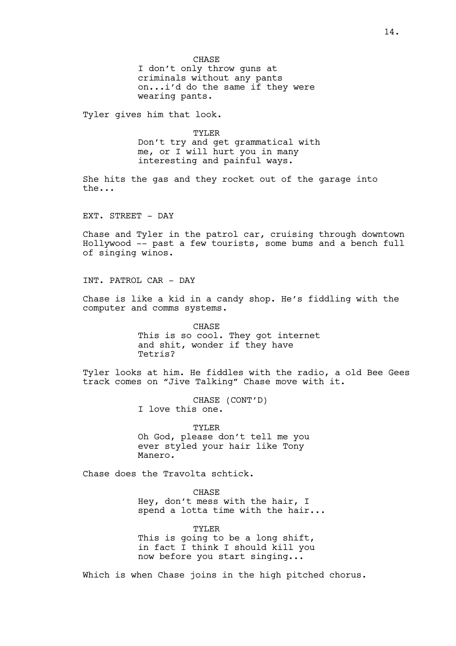I don't only throw guns at criminals without any pants on...i'd do the same if they were wearing pants.

Tyler gives him that look.

TYLER Don't try and get grammatical with me, or I will hurt you in many interesting and painful ways.

She hits the gas and they rocket out of the garage into the...

EXT. STREET - DAY

Chase and Tyler in the patrol car, cruising through downtown Hollywood -- past a few tourists, some bums and a bench full of singing winos.

INT. PATROL CAR - DAY

Chase is like a kid in a candy shop. He's fiddling with the computer and comms systems.

> CHASE This is so cool. They got internet and shit, wonder if they have Tetris?

Tyler looks at him. He fiddles with the radio, a old Bee Gees track comes on "Jive Talking" Chase move with it.

> CHASE (CONT'D) I love this one.

TYLER Oh God, please don't tell me you ever styled your hair like Tony Manero.

Chase does the Travolta schtick.

CHASE Hey, don't mess with the hair, I spend a lotta time with the hair...

TYLER This is going to be a long shift, in fact I think I should kill you now before you start singing...

Which is when Chase joins in the high pitched chorus.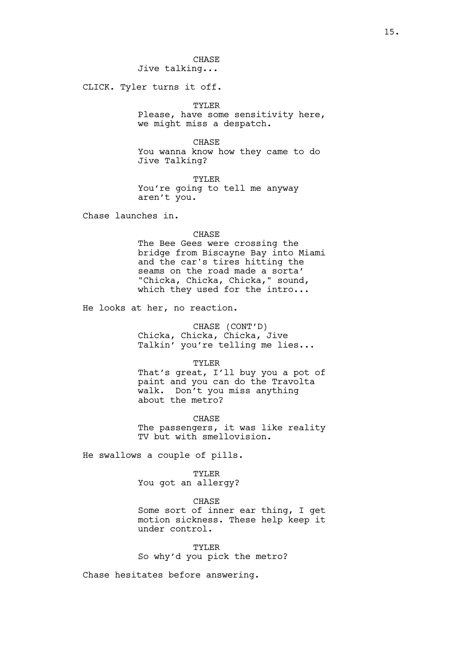CHASE Jive talking...

CLICK. Tyler turns it off.

TYLER

Please, have some sensitivity here, we might miss a despatch.

CHASE

You wanna know how they came to do Jive Talking?

TYLER You're going to tell me anyway aren't you.

Chase launches in.

CHASE

The Bee Gees were crossing the bridge from Biscayne Bay into Miami and the car's tires hitting the seams on the road made a sorta' "Chicka, Chicka, Chicka," sound, which they used for the intro...

He looks at her, no reaction.

CHASE (CONT'D) Chicka, Chicka, Chicka, Jive Talkin' you're telling me lies...

TYLER

That's great, I'll buy you a pot of paint and you can do the Travolta walk. Don't you miss anything about the metro?

**CHASE** 

The passengers, it was like reality TV but with smellovision.

He swallows a couple of pills.

TYLER You got an allergy?

CHASE Some sort of inner ear thing, I get motion sickness. These help keep it under control.

TYLER So why'd you pick the metro?

Chase hesitates before answering.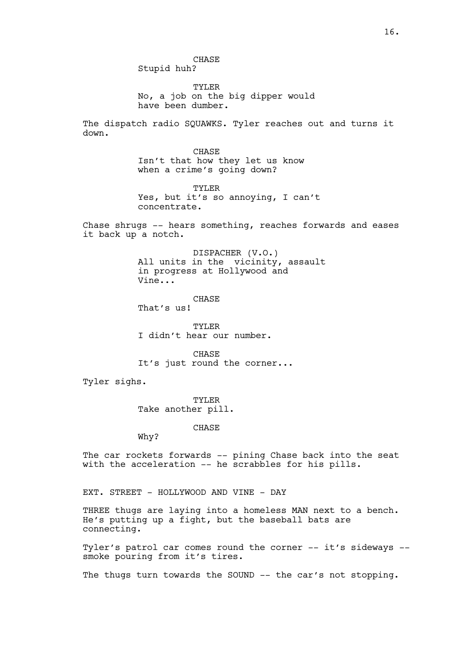CHASE Stupid huh?

TYLER No, a job on the big dipper would have been dumber.

The dispatch radio SQUAWKS. Tyler reaches out and turns it down.

> CHASE Isn't that how they let us know when a crime's going down?

TYLER Yes, but it's so annoying, I can't concentrate.

Chase shrugs -- hears something, reaches forwards and eases it back up a notch.

> DISPACHER (V.O.) All units in the vicinity, assault in progress at Hollywood and Vine...

CHASE That's us!

TYLER I didn't hear our number.

CHASE It's just round the corner...

Tyler sighs.

TYLER Take another pill.

CHASE

Why?

The car rockets forwards -- pining Chase back into the seat with the acceleration -- he scrabbles for his pills.

EXT. STREET - HOLLYWOOD AND VINE - DAY

THREE thugs are laying into a homeless MAN next to a bench. He's putting up a fight, but the baseball bats are connecting.

Tyler's patrol car comes round the corner -- it's sideways - smoke pouring from it's tires.

The thugs turn towards the SOUND -- the car's not stopping.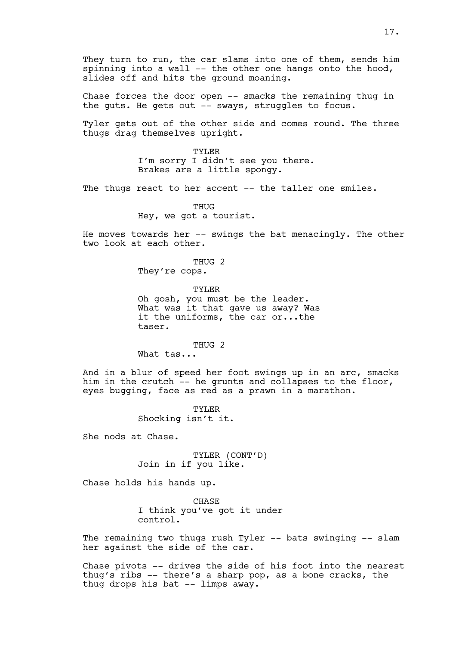They turn to run, the car slams into one of them, sends him spinning into a wall -- the other one hangs onto the hood, slides off and hits the ground moaning.

Chase forces the door open -- smacks the remaining thug in the guts. He gets out -- sways, struggles to focus.

Tyler gets out of the other side and comes round. The three thugs drag themselves upright.

> TYLER I'm sorry I didn't see you there. Brakes are a little spongy.

The thugs react to her accent -- the taller one smiles.

THUG Hey, we got a tourist.

He moves towards her -- swings the bat menacingly. The other two look at each other.

THUG 2

They're cops.

TYLER Oh gosh, you must be the leader. What was it that gave us away? Was it the uniforms, the car or...the taser.

THUG 2

What tas...

And in a blur of speed her foot swings up in an arc, smacks him in the crutch -- he grunts and collapses to the floor, eyes bugging, face as red as a prawn in a marathon.

> TYLER Shocking isn't it.

She nods at Chase.

TYLER (CONT'D) Join in if you like.

Chase holds his hands up.

CHASE I think you've got it under control.

The remaining two thugs rush Tyler -- bats swinging -- slam her against the side of the car.

Chase pivots -- drives the side of his foot into the nearest thug's ribs -- there's a sharp pop, as a bone cracks, the thug drops his bat -- limps away.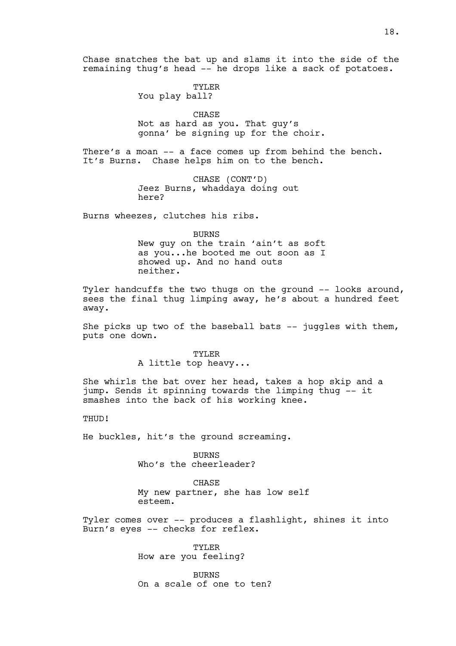Chase snatches the bat up and slams it into the side of the remaining thug's head -- he drops like a sack of potatoes.

TYLER

You play ball?

CHASE

Not as hard as you. That guy's gonna' be signing up for the choir.

There's a moan -- a face comes up from behind the bench. It's Burns. Chase helps him on to the bench.

> CHASE (CONT'D) Jeez Burns, whaddaya doing out here?

Burns wheezes, clutches his ribs.

BURNS

New guy on the train 'ain't as soft as you...he booted me out soon as I showed up. And no hand outs neither.

Tyler handcuffs the two thugs on the ground -- looks around, sees the final thug limping away, he's about a hundred feet away.

She picks up two of the baseball bats -- juggles with them, puts one down.

> TYLER A little top heavy...

She whirls the bat over her head, takes a hop skip and a jump. Sends it spinning towards the limping thug -- it smashes into the back of his working knee.

THUD!

He buckles, hit's the ground screaming.

BURNS Who's the cheerleader?

**CHASE** My new partner, she has low self esteem.

Tyler comes over -- produces a flashlight, shines it into Burn's eyes -- checks for reflex.

> TYLER How are you feeling?

BURNS On a scale of one to ten?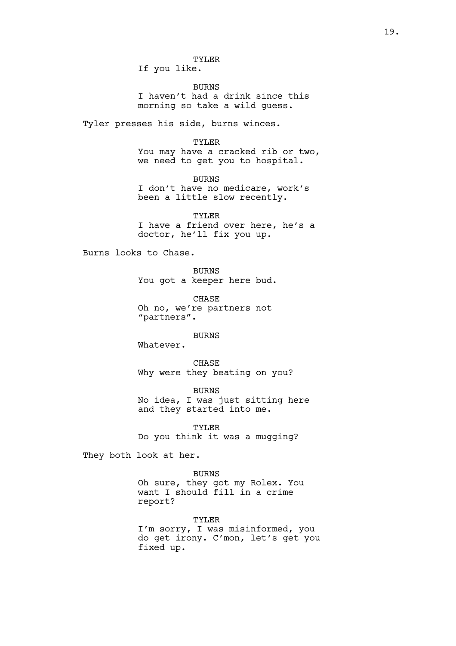TYLER If you like.

BURNS I haven't had a drink since this morning so take a wild guess.

Tyler presses his side, burns winces.

#### TYLER

You may have a cracked rib or two, we need to get you to hospital.

BURNS I don't have no medicare, work's been a little slow recently.

TYLER I have a friend over here, he's a doctor, he'll fix you up.

Burns looks to Chase.

BURNS You got a keeper here bud.

CHASE Oh no, we're partners not "partners".

BURNS

Whatever.

CHASE Why were they beating on you?

BURNS No idea, I was just sitting here and they started into me.

TYLER Do you think it was a mugging?

They both look at her.

BURNS Oh sure, they got my Rolex. You want I should fill in a crime report?

TYLER I'm sorry, I was misinformed, you do get irony. C'mon, let's get you fixed up.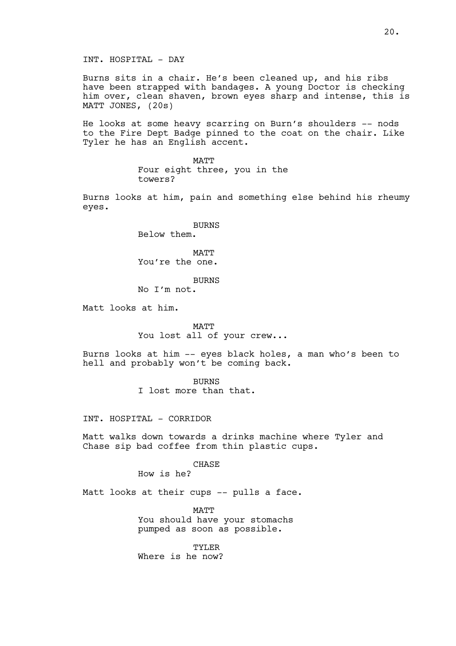Burns sits in a chair. He's been cleaned up, and his ribs have been strapped with bandages. A young Doctor is checking him over, clean shaven, brown eyes sharp and intense, this is MATT JONES, (20s)

He looks at some heavy scarring on Burn's shoulders -- nods to the Fire Dept Badge pinned to the coat on the chair. Like Tyler he has an English accent.

> MATT Four eight three, you in the towers?

Burns looks at him, pain and something else behind his rheumy eyes.

BURNS

Below them.

MATT You're the one.

BURNS

No I'm not.

Matt looks at him.

MATT You lost all of your crew...

Burns looks at him -- eyes black holes, a man who's been to hell and probably won't be coming back.

> BURNS I lost more than that.

INT. HOSPITAL - CORRIDOR

Matt walks down towards a drinks machine where Tyler and Chase sip bad coffee from thin plastic cups.

CHASE

How is he?

Matt looks at their cups -- pulls a face.

**MATT** You should have your stomachs pumped as soon as possible.

TYLER Where is he now?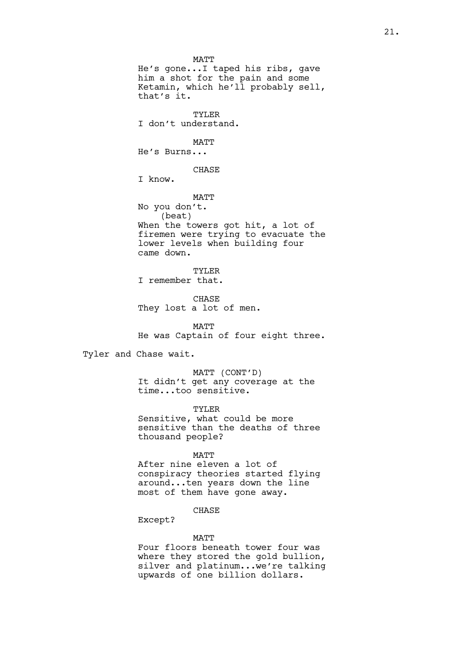MATT He's gone...I taped his ribs, gave him a shot for the pain and some Ketamin, which he'll probably sell, that's it. TYLER I don't understand. MATT He's Burns... CHASE I know. MATT No you don't. (beat) When the towers got hit, a lot of firemen were trying to evacuate the lower levels when building four came down. TYLER I remember that. CHASE They lost a lot of men. MATT He was Captain of four eight three. Tyler and Chase wait. MATT (CONT'D) It didn't get any coverage at the time...too sensitive. TYLER Sensitive, what could be more sensitive than the deaths of three thousand people? MATT After nine eleven a lot of conspiracy theories started flying around...ten years down the line most of them have gone away.

# **CHASE**

Except?

#### **MATT**

Four floors beneath tower four was where they stored the gold bullion, silver and platinum...we're talking upwards of one billion dollars.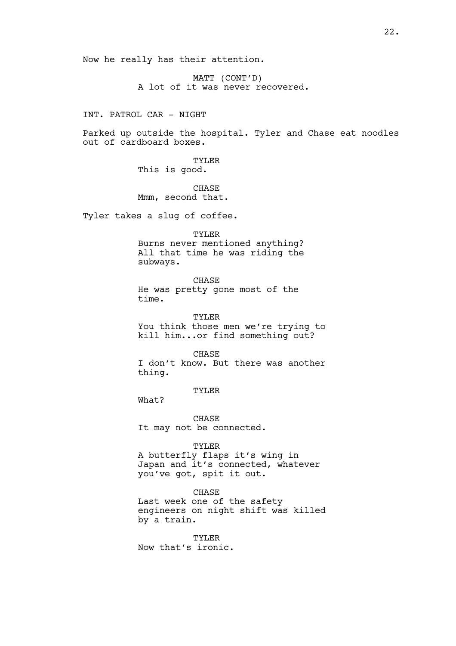Now he really has their attention.

MATT (CONT'D) A lot of it was never recovered.

INT. PATROL CAR - NIGHT

Parked up outside the hospital. Tyler and Chase eat noodles out of cardboard boxes.

> TYLER This is good.

CHASE Mmm, second that.

Tyler takes a slug of coffee.

TYLER Burns never mentioned anything? All that time he was riding the

subways. CHASE

He was pretty gone most of the time.

TYLER You think those men we're trying to kill him...or find something out?

CHASE I don't know. But there was another thing.

TYLER

What?

CHASE It may not be connected.

TYLER

A butterfly flaps it's wing in Japan and it's connected, whatever you've got, spit it out.

**CHASE** 

Last week one of the safety engineers on night shift was killed by a train.

TYLER Now that's ironic.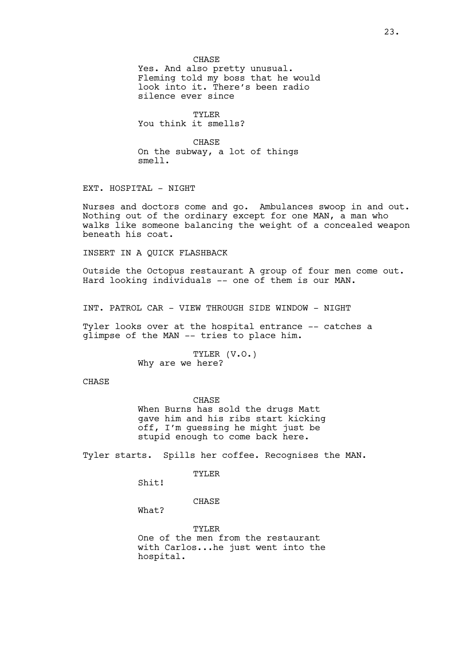CHASE

Yes. And also pretty unusual. Fleming told my boss that he would look into it. There's been radio silence ever since

TYLER You think it smells?

CHASE

On the subway, a lot of things smell.

EXT. HOSPITAL - NIGHT

Nurses and doctors come and go. Ambulances swoop in and out. Nothing out of the ordinary except for one MAN, a man who walks like someone balancing the weight of a concealed weapon beneath his coat.

INSERT IN A QUICK FLASHBACK

Outside the Octopus restaurant A group of four men come out. Hard looking individuals -- one of them is our MAN.

INT. PATROL CAR - VIEW THROUGH SIDE WINDOW - NIGHT

Tyler looks over at the hospital entrance -- catches a glimpse of the MAN -- tries to place him.

> TYLER (V.O.) Why are we here?

CHASE

CHASE

When Burns has sold the drugs Matt gave him and his ribs start kicking off, I'm guessing he might just be stupid enough to come back here.

Tyler starts. Spills her coffee. Recognises the MAN.

TYLER

Shit!

CHASE

What?

TYLER One of the men from the restaurant with Carlos...he just went into the hospital.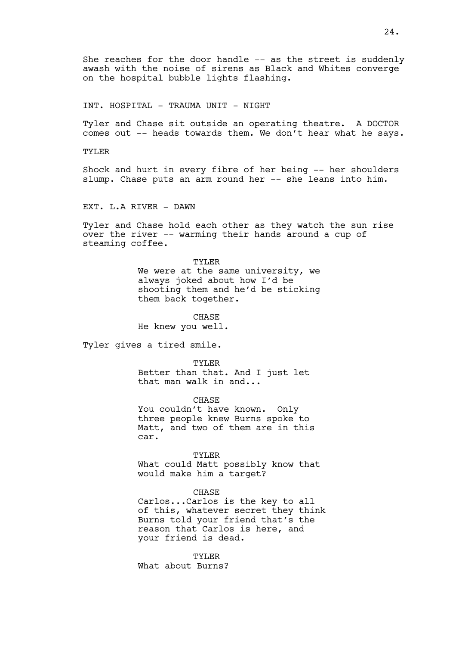She reaches for the door handle -- as the street is suddenly awash with the noise of sirens as Black and Whites converge on the hospital bubble lights flashing.

INT. HOSPITAL - TRAUMA UNIT - NIGHT

Tyler and Chase sit outside an operating theatre. A DOCTOR comes out -- heads towards them. We don't hear what he says.

TYLER

Shock and hurt in every fibre of her being -- her shoulders slump. Chase puts an arm round her -- she leans into him.

EXT. L.A RIVER - DAWN

Tyler and Chase hold each other as they watch the sun rise over the river -- warming their hands around a cup of steaming coffee.

> TYLER We were at the same university, we always joked about how I'd be shooting them and he'd be sticking them back together.

> > **CHASE**

He knew you well.

Tyler gives a tired smile.

TYLER

Better than that. And I just let that man walk in and...

CHASE

You couldn't have known. Only three people knew Burns spoke to Matt, and two of them are in this car.

TYLER What could Matt possibly know that would make him a target?

**CHASE** 

Carlos...Carlos is the key to all of this, whatever secret they think Burns told your friend that's the reason that Carlos is here, and your friend is dead.

TYLER What about Burns?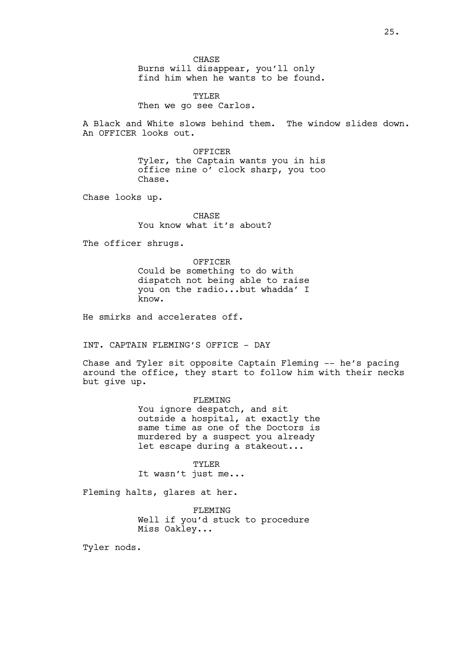CHASE Burns will disappear, you'll only find him when he wants to be found.

TYLER Then we go see Carlos.

A Black and White slows behind them. The window slides down. An OFFICER looks out.

> OFFICER Tyler, the Captain wants you in his office nine o' clock sharp, you too Chase.

Chase looks up.

**CHASE** You know what it's about?

The officer shrugs.

OFFICER Could be something to do with dispatch not being able to raise you on the radio...but whadda' I know.

He smirks and accelerates off.

INT. CAPTAIN FLEMING'S OFFICE - DAY

Chase and Tyler sit opposite Captain Fleming -- he's pacing around the office, they start to follow him with their necks but give up.

> FLEMING You ignore despatch, and sit outside a hospital, at exactly the same time as one of the Doctors is murdered by a suspect you already let escape during a stakeout...

TYLER It wasn't just me...

Fleming halts, glares at her.

FLEMING Well if you'd stuck to procedure Miss Oakley...

Tyler nods.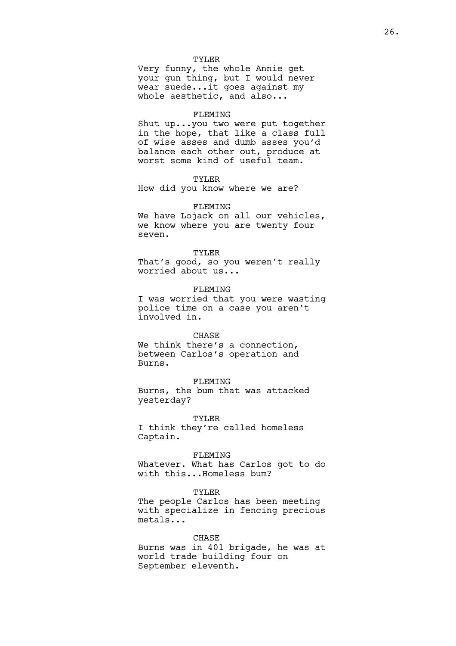#### TYLER

Very funny, the whole Annie get your gun thing, but I would never wear suede...it goes against my whole aesthetic, and also...

#### FLEMING

Shut up...you two were put together in the hope, that like a class full of wise asses and dumb asses you'd balance each other out, produce at worst some kind of useful team.

#### TYLER

How did you know where we are?

#### FLEMING

We have Lojack on all our vehicles, we know where you are twenty four seven.

#### TYLER

That's good, so you weren't really worried about us...

#### FLEMING

I was worried that you were wasting police time on a case you aren't involved in.

#### CHASE

We think there's a connection, between Carlos's operation and Burns.

## FLEMING

Burns, the bum that was attacked yesterday?

#### TYLER

I think they're called homeless Captain.

#### FLEMING

Whatever. What has Carlos got to do with this...Homeless bum?

#### TYLER

The people Carlos has been meeting with specialize in fencing precious metals...

#### **CHASE**

Burns was in 401 brigade, he was at world trade building four on September eleventh.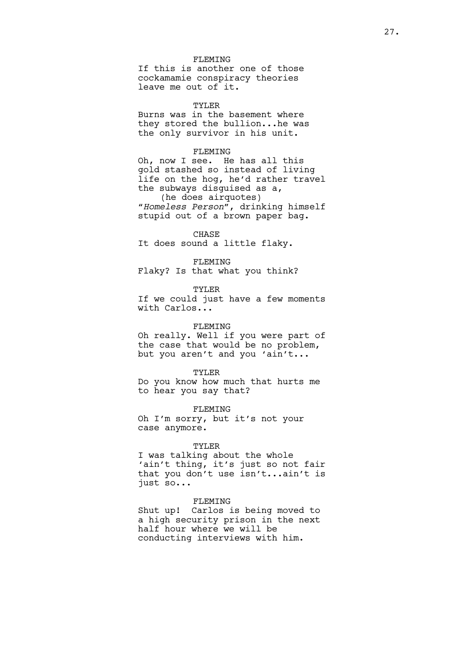# FLEMING

If this is another one of those cockamamie conspiracy theories leave me out of it.

# TYLER

Burns was in the basement where they stored the bullion...he was the only survivor in his unit.

# FLEMING

Oh, now I see. He has all this gold stashed so instead of living life on the hog, he'd rather travel the subways disguised as a, (he does airquotes)

"*Homeless Person"*, drinking himself stupid out of a brown paper bag.

#### CHASE

It does sound a little flaky.

FLEMING

Flaky? Is that what you think?

TYLER

If we could just have a few moments with Carlos...

#### FLEMING

Oh really. Well if you were part of the case that would be no problem, but you aren't and you 'ain't...

#### TYLER

Do you know how much that hurts me to hear you say that?

FLEMING

Oh I'm sorry, but it's not your case anymore.

#### TYLER

I was talking about the whole 'ain't thing, it's just so not fair that you don't use isn't...ain't is just so...

#### FLEMING

Shut up! Carlos is being moved to a high security prison in the next half hour where we will be conducting interviews with him.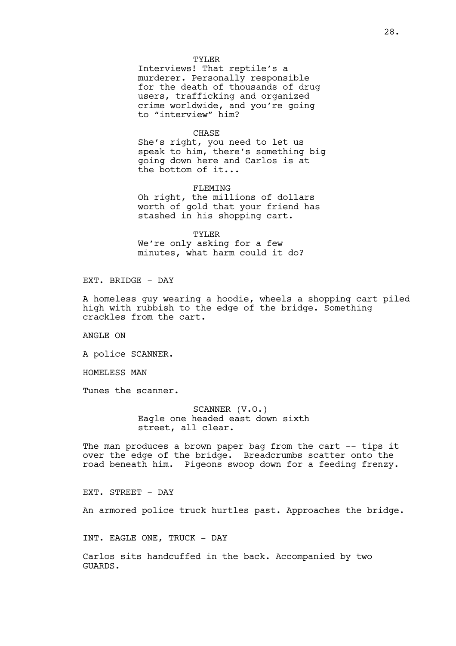#### TYLER

Interviews! That reptile's a murderer. Personally responsible for the death of thousands of drug users, trafficking and organized crime worldwide, and you're going to "interview" him?

#### CHASE

She's right, you need to let us speak to him, there's something big going down here and Carlos is at the bottom of it...

#### FLEMING

Oh right, the millions of dollars worth of gold that your friend has stashed in his shopping cart.

TYLER We're only asking for a few minutes, what harm could it do?

EXT. BRIDGE - DAY

A homeless guy wearing a hoodie, wheels a shopping cart piled high with rubbish to the edge of the bridge. Something crackles from the cart.

ANGLE ON

A police SCANNER.

HOMELESS MAN

Tunes the scanner.

SCANNER (V.O.) Eagle one headed east down sixth street, all clear.

The man produces a brown paper bag from the cart -- tips it over the edge of the bridge. Breadcrumbs scatter onto the road beneath him. Pigeons swoop down for a feeding frenzy.

EXT. STREET - DAY

An armored police truck hurtles past. Approaches the bridge.

INT. EAGLE ONE, TRUCK - DAY

Carlos sits handcuffed in the back. Accompanied by two GUARDS.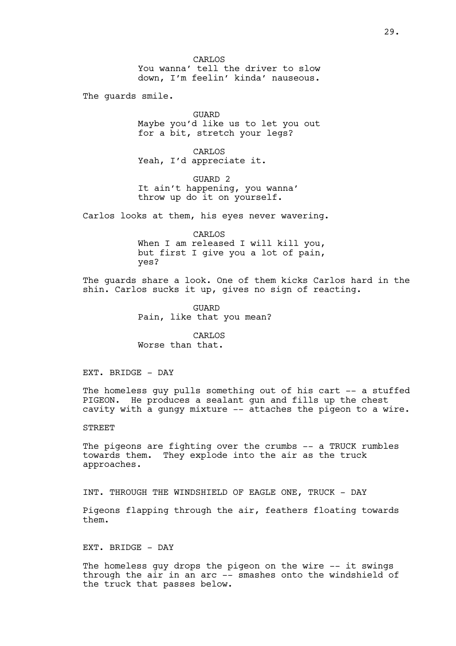CARLOS You wanna' tell the driver to slow down, I'm feelin' kinda' nauseous.

The guards smile.

GUARD Maybe you'd like us to let you out for a bit, stretch your legs?

CARLOS Yeah, I'd appreciate it.

GUARD 2 It ain't happening, you wanna' throw up do it on yourself.

Carlos looks at them, his eyes never wavering.

CARLOS When I am released I will kill you, but first I give you a lot of pain, yes?

The guards share a look. One of them kicks Carlos hard in the shin. Carlos sucks it up, gives no sign of reacting.

> GUARD Pain, like that you mean?

CARLOS Worse than that.

EXT. BRIDGE - DAY

The homeless guy pulls something out of his cart -- a stuffed PIGEON. He produces a sealant gun and fills up the chest cavity with a gungy mixture -- attaches the pigeon to a wire.

STREET

The pigeons are fighting over the crumbs -- a TRUCK rumbles towards them. They explode into the air as the truck approaches.

INT. THROUGH THE WINDSHIELD OF EAGLE ONE, TRUCK - DAY

Pigeons flapping through the air, feathers floating towards them.

EXT. BRIDGE - DAY

The homeless quy drops the pigeon on the wire -- it swings through the air in an arc -- smashes onto the windshield of the truck that passes below.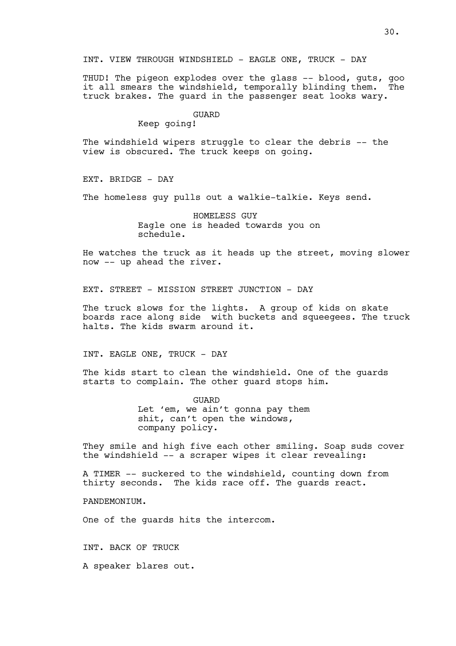THUD! The pigeon explodes over the glass -- blood, guts, goo it all smears the windshield, temporally blinding them. The truck brakes. The guard in the passenger seat looks wary.

# GUARD

Keep going!

The windshield wipers struggle to clear the debris -- the view is obscured. The truck keeps on going.

EXT. BRIDGE - DAY

The homeless quy pulls out a walkie-talkie. Keys send.

HOMELESS GUY Eagle one is headed towards you on schedule.

He watches the truck as it heads up the street, moving slower now -- up ahead the river.

EXT. STREET - MISSION STREET JUNCTION - DAY

The truck slows for the lights. A group of kids on skate boards race along side with buckets and squeegees. The truck halts. The kids swarm around it.

INT. EAGLE ONE, TRUCK - DAY

The kids start to clean the windshield. One of the guards starts to complain. The other guard stops him.

> GUARD Let 'em, we ain't gonna pay them shit, can't open the windows, company policy.

They smile and high five each other smiling. Soap suds cover the windshield -- a scraper wipes it clear revealing:

A TIMER -- suckered to the windshield, counting down from thirty seconds. The kids race off. The guards react.

PANDEMONIUM.

One of the guards hits the intercom.

INT. BACK OF TRUCK

A speaker blares out.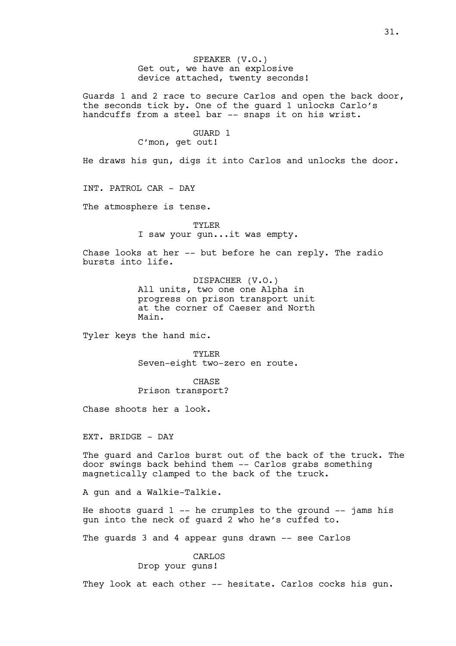# SPEAKER (V.O.) Get out, we have an explosive device attached, twenty seconds!

Guards 1 and 2 race to secure Carlos and open the back door, the seconds tick by. One of the guard 1 unlocks Carlo's handcuffs from a steel bar -- snaps it on his wrist.

# GUARD 1

# C'mon, get out!

He draws his gun, digs it into Carlos and unlocks the door.

INT. PATROL CAR - DAY

The atmosphere is tense.

TYLER I saw your gun...it was empty.

Chase looks at her -- but before he can reply. The radio bursts into life.

> DISPACHER (V.O.) All units, two one one Alpha in progress on prison transport unit at the corner of Caeser and North Main.

Tyler keys the hand mic.

TYLER Seven-eight two-zero en route.

CHASE Prison transport?

Chase shoots her a look.

EXT. BRIDGE - DAY

The guard and Carlos burst out of the back of the truck. The door swings back behind them -- Carlos grabs something magnetically clamped to the back of the truck.

A gun and a Walkie-Talkie.

He shoots quard  $1$  -- he crumples to the ground  $-$  jams his gun into the neck of guard 2 who he's cuffed to.

The quards 3 and 4 appear quns drawn -- see Carlos

# CARLOS

# Drop your guns!

They look at each other -- hesitate. Carlos cocks his gun.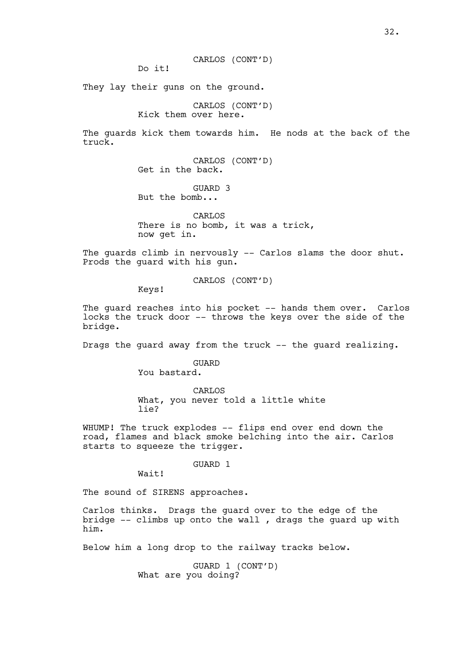Do it!

They lay their guns on the ground.

CARLOS (CONT'D) Kick them over here.

The guards kick them towards him. He nods at the back of the truck.

> CARLOS (CONT'D) Get in the back.

GUARD 3 But the bomb...

CARLOS There is no bomb, it was a trick, now get in.

The guards climb in nervously -- Carlos slams the door shut. Prods the guard with his gun.

CARLOS (CONT'D)

Keys!

The quard reaches into his pocket -- hands them over. Carlos locks the truck door -- throws the keys over the side of the bridge.

Drags the guard away from the truck -- the guard realizing.

GUARD You bastard.

CARLOS What, you never told a little white lie?

WHUMP! The truck explodes -- flips end over end down the road, flames and black smoke belching into the air. Carlos starts to squeeze the trigger.

# GUARD 1

Wait!

The sound of SIRENS approaches.

Carlos thinks. Drags the guard over to the edge of the bridge -- climbs up onto the wall , drags the guard up with him.

Below him a long drop to the railway tracks below.

GUARD 1 (CONT'D) What are you doing?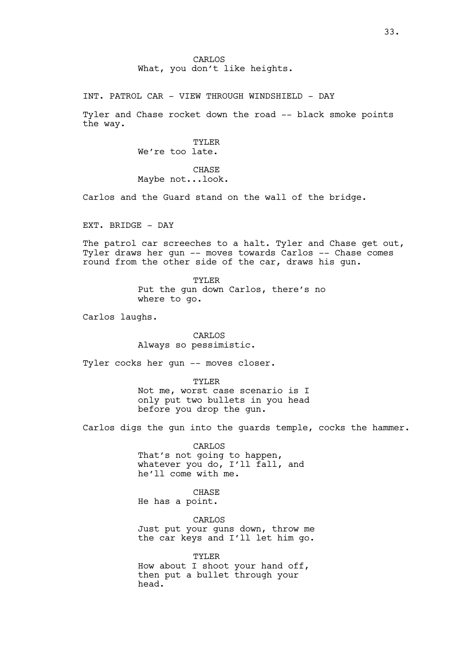INT. PATROL CAR - VIEW THROUGH WINDSHIELD - DAY

Tyler and Chase rocket down the road -- black smoke points the way.

> TYLER We're too late.

CHASE Maybe not...look.

Carlos and the Guard stand on the wall of the bridge.

EXT. BRIDGE - DAY

The patrol car screeches to a halt. Tyler and Chase get out, Tyler draws her gun -- moves towards Carlos -- Chase comes round from the other side of the car, draws his gun.

> TYLER Put the gun down Carlos, there's no where to go.

Carlos laughs.

CARLOS Always so pessimistic.

Tyler cocks her gun -- moves closer.

TYLER Not me, worst case scenario is I only put two bullets in you head before you drop the gun.

Carlos digs the gun into the guards temple, cocks the hammer.

CARLOS That's not going to happen, whatever you do, I'll fall, and he'll come with me.

**CHASE** 

He has a point.

**CARLOS** Just put your guns down, throw me the car keys and I'll let him go.

TYLER How about I shoot your hand off, then put a bullet through your head.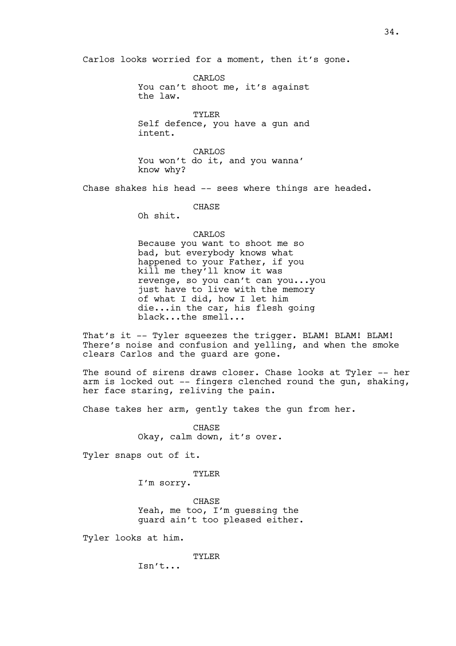Carlos looks worried for a moment, then it's gone.

CARLOS You can't shoot me, it's against the law.

TYLER Self defence, you have a gun and intent.

CARLOS You won't do it, and you wanna' know why?

Chase shakes his head -- sees where things are headed.

CHASE

Oh shit.

# CARLOS

Because you want to shoot me so bad, but everybody knows what happened to your Father, if you kill me they'll know it was revenge, so you can't can you...you just have to live with the memory of what I did, how I let him die...in the car, his flesh going black...the smell...

That's it -- Tyler squeezes the trigger. BLAM! BLAM! BLAM! There's noise and confusion and yelling, and when the smoke clears Carlos and the guard are gone.

The sound of sirens draws closer. Chase looks at Tyler -- her arm is locked out  $-$ - fingers clenched round the gun, shaking, her face staring, reliving the pain.

Chase takes her arm, gently takes the gun from her.

CHASE Okay, calm down, it's over.

Tyler snaps out of it.

TYLER

I'm sorry.

CHASE Yeah, me too, I'm guessing the guard ain't too pleased either.

Tyler looks at him.

TYLER

Isn't...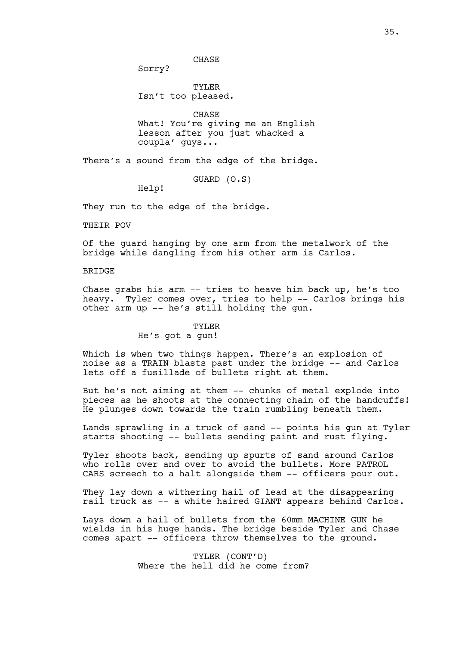CHASE

Sorry?

TYLER Isn't too pleased.

CHASE What! You're giving me an English lesson after you just whacked a coupla' guys...

There's a sound from the edge of the bridge.

GUARD (O.S)

Help!

They run to the edge of the bridge.

THEIR POV

Of the guard hanging by one arm from the metalwork of the bridge while dangling from his other arm is Carlos.

BRIDGE

Chase grabs his arm -- tries to heave him back up, he's too heavy. Tyler comes over, tries to help -- Carlos brings his other arm up -- he's still holding the gun.

#### TYLER

# He's got a gun!

Which is when two things happen. There's an explosion of noise as a TRAIN blasts past under the bridge -- and Carlos lets off a fusillade of bullets right at them.

But he's not aiming at them -- chunks of metal explode into pieces as he shoots at the connecting chain of the handcuffs! He plunges down towards the train rumbling beneath them.

Lands sprawling in a truck of sand -- points his gun at Tyler starts shooting -- bullets sending paint and rust flying.

Tyler shoots back, sending up spurts of sand around Carlos who rolls over and over to avoid the bullets. More PATROL CARS screech to a halt alongside them -- officers pour out.

They lay down a withering hail of lead at the disappearing rail truck as -- a white haired GIANT appears behind Carlos.

Lays down a hail of bullets from the 60mm MACHINE GUN he wields in his huge hands. The bridge beside Tyler and Chase comes apart -- officers throw themselves to the ground.

> TYLER (CONT'D) Where the hell did he come from?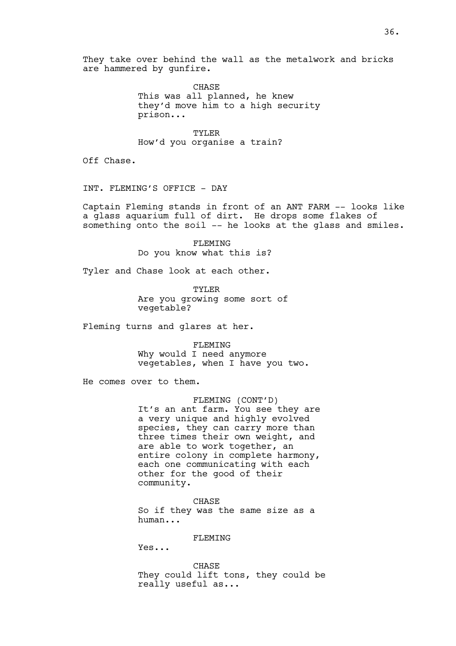They take over behind the wall as the metalwork and bricks are hammered by gunfire.

> CHASE This was all planned, he knew they'd move him to a high security prison...

TYLER How'd you organise a train?

Off Chase.

INT. FLEMING'S OFFICE - DAY

Captain Fleming stands in front of an ANT FARM -- looks like a glass aquarium full of dirt. He drops some flakes of something onto the soil -- he looks at the glass and smiles.

> FLEMING Do you know what this is?

Tyler and Chase look at each other.

TYLER Are you growing some sort of vegetable?

Fleming turns and glares at her.

FLEMING Why would I need anymore vegetables, when I have you two.

He comes over to them.

# FLEMING (CONT'D)

It's an ant farm. You see they are a very unique and highly evolved species, they can carry more than three times their own weight, and are able to work together, an entire colony in complete harmony, each one communicating with each other for the good of their community.

CHASE So if they was the same size as a human...

FLEMING

Yes...

CHASE They could lift tons, they could be really useful as...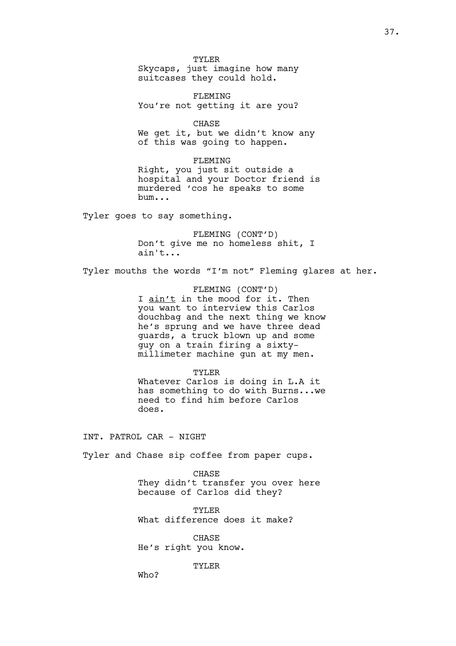TYLER Skycaps, just imagine how many

suitcases they could hold.

FLEMING You're not getting it are you?

CHASE We get it, but we didn't know any

of this was going to happen.

FLEMING Right, you just sit outside a hospital and your Doctor friend is murdered 'cos he speaks to some bum...

Tyler goes to say something.

FLEMING (CONT'D) Don't give me no homeless shit, I ain't...

Tyler mouths the words "I'm not" Fleming glares at her.

FLEMING (CONT'D) I ain't in the mood for it. Then you want to interview this Carlos douchbag and the next thing we know he's sprung and we have three dead guards, a truck blown up and some guy on a train firing a sixtymillimeter machine gun at my men.

TYLER Whatever Carlos is doing in L.A it has something to do with Burns...we need to find him before Carlos

INT. PATROL CAR - NIGHT

does.

Tyler and Chase sip coffee from paper cups.

CHASE They didn't transfer you over here because of Carlos did they?

TYLER What difference does it make?

**CHASE** He's right you know.

TYLER

Who?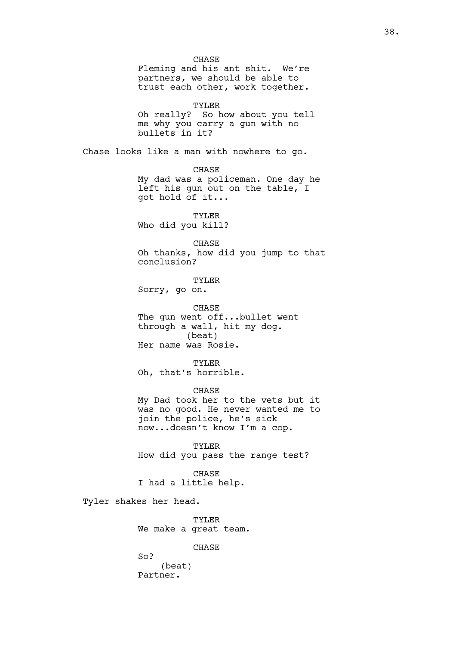CHASE Fleming and his ant shit. We're partners, we should be able to trust each other, work together. TYLER Oh really? So how about you tell me why you carry a gun with no bullets in it? Chase looks like a man with nowhere to go. CHASE My dad was a policeman. One day he left his gun out on the table, I got hold of it... TYLER Who did you kill? CHASE Oh thanks, how did you jump to that conclusion? TYLER Sorry, go on. CHASE The gun went off...bullet went through a wall, hit my dog. (beat) Her name was Rosie. TYLER Oh, that's horrible. CHASE My Dad took her to the vets but it was no good. He never wanted me to join the police, he's sick now...doesn't know I'm a cop. TYLER How did you pass the range test? CHASE I had a little help. Tyler shakes her head. TYLER We make a great team. **CHASE** So? (beat) Partner.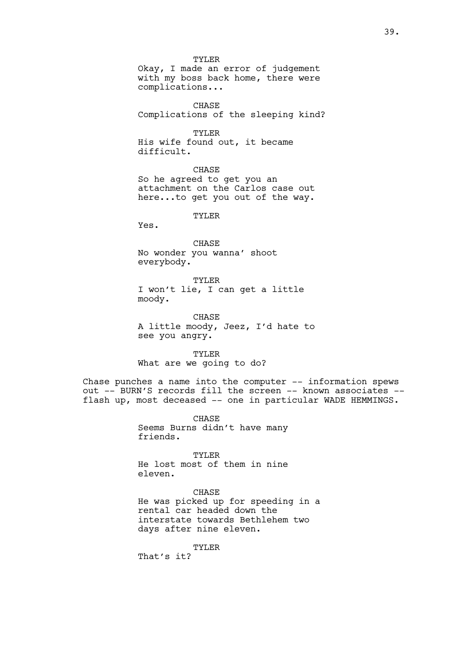TYLER Okay, I made an error of judgement with my boss back home, there were complications...

CHASE Complications of the sleeping kind?

TYLER His wife found out, it became difficult.

CHASE So he agreed to get you an attachment on the Carlos case out here...to get you out of the way.

TYLER

Yes.

CHASE No wonder you wanna' shoot everybody.

TYLER I won't lie, I can get a little moody.

**CHASE** A little moody, Jeez, I'd hate to see you angry.

TYLER What are we going to do?

Chase punches a name into the computer -- information spews out -- BURN'S records fill the screen -- known associates -flash up, most deceased -- one in particular WADE HEMMINGS.

> CHASE Seems Burns didn't have many friends.

> TYLER He lost most of them in nine eleven.

**CHASE** He was picked up for speeding in a rental car headed down the interstate towards Bethlehem two days after nine eleven.

TYLER

That's it?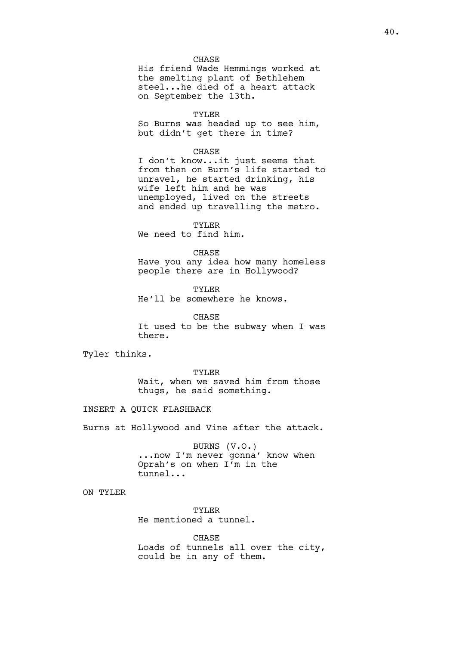#### CHASE

His friend Wade Hemmings worked at the smelting plant of Bethlehem steel...he died of a heart attack on September the 13th.

#### TYLER

So Burns was headed up to see him, but didn't get there in time?

## CHASE

I don't know...it just seems that from then on Burn's life started to unravel, he started drinking, his wife left him and he was unemployed, lived on the streets and ended up travelling the metro.

#### TYLER

We need to find him.

#### CHASE

Have you any idea how many homeless people there are in Hollywood?

TYLER He'll be somewhere he knows.

**CHASE** It used to be the subway when I was there.

Tyler thinks.

TYLER Wait, when we saved him from those thugs, he said something.

# INSERT A QUICK FLASHBACK

Burns at Hollywood and Vine after the attack.

BURNS (V.O.) ...now I'm never gonna' know when Oprah's on when I'm in the tunnel...

ON TYLER

TYLER He mentioned a tunnel.

# **CHASE**

Loads of tunnels all over the city, could be in any of them.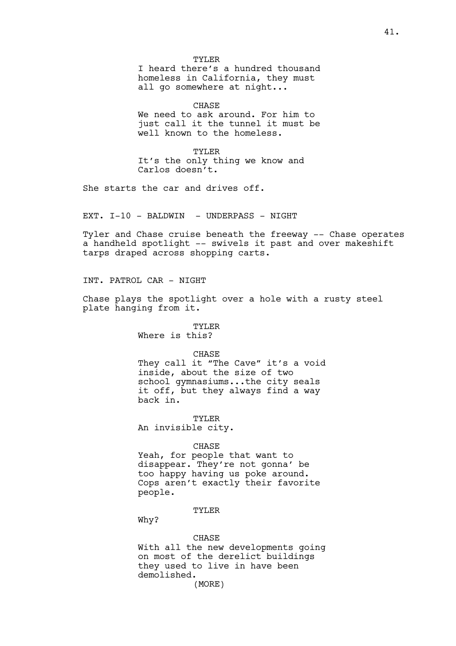TYLER

I heard there's a hundred thousand homeless in California, they must all go somewhere at night...

CHASE

We need to ask around. For him to just call it the tunnel it must be well known to the homeless.

TYLER It's the only thing we know and Carlos doesn't.

She starts the car and drives off.

EXT. I-10 - BALDWIN - UNDERPASS - NIGHT

Tyler and Chase cruise beneath the freeway -- Chase operates a handheld spotlight -- swivels it past and over makeshift tarps draped across shopping carts.

INT. PATROL CAR - NIGHT

Chase plays the spotlight over a hole with a rusty steel plate hanging from it.

> TYLER Where is this?

#### CHASE

They call it "The Cave" it's a void inside, about the size of two school gymnasiums...the city seals it off, but they always find a way back in.

TYLER An invisible city.

#### CHASE

Yeah, for people that want to disappear. They're not gonna' be too happy having us poke around. Cops aren't exactly their favorite people.

# TYLER

Why?

#### **CHASE**

With all the new developments going on most of the derelict buildings they used to live in have been demolished.

(MORE)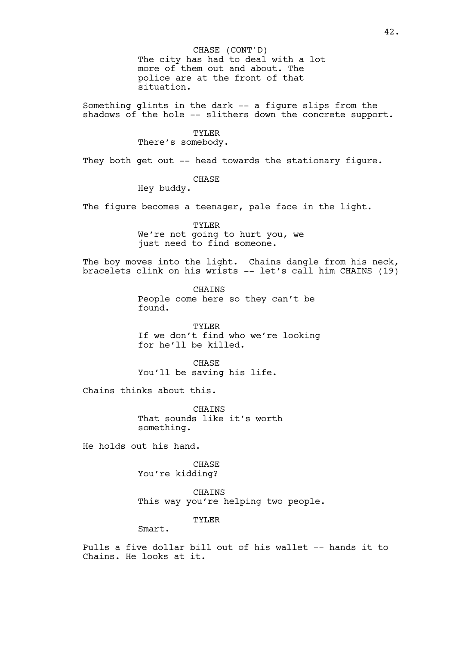The city has had to deal with a lot more of them out and about. The police are at the front of that situation. CHASE (CONT'D)

Something glints in the dark -- a figure slips from the shadows of the hole -- slithers down the concrete support.

> TYLER There's somebody.

They both get out -- head towards the stationary figure.

CHASE

Hey buddy.

The figure becomes a teenager, pale face in the light.

TYLER We're not going to hurt you, we just need to find someone.

The boy moves into the light. Chains dangle from his neck, bracelets clink on his wrists -- let's call him CHAINS (19)

> CHAINS People come here so they can't be found.

TYLER If we don't find who we're looking for he'll be killed.

CHASE You'll be saving his life.

Chains thinks about this.

CHAINS That sounds like it's worth something.

He holds out his hand.

CHASE You're kidding?

**CHAINS** This way you're helping two people.

TYLER

Smart.

Pulls a five dollar bill out of his wallet -- hands it to Chains. He looks at it.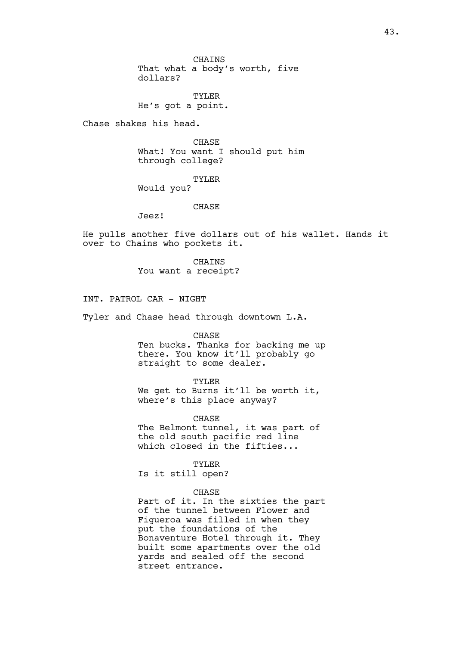CHAINS That what a body's worth, five dollars?

TYLER He's got a point.

Chase shakes his head.

CHASE What! You want I should put him through college?

TYLER

Would you?

## CHASE

Jeez!

He pulls another five dollars out of his wallet. Hands it over to Chains who pockets it.

> CHAINS You want a receipt?

INT. PATROL CAR - NIGHT

Tyler and Chase head through downtown L.A.

CHASE

Ten bucks. Thanks for backing me up there. You know it'll probably go straight to some dealer.

## TYLER

We get to Burns it'll be worth it, where's this place anyway?

**CHASE** 

The Belmont tunnel, it was part of the old south pacific red line which closed in the fifties...

TYLER

Is it still open?

#### **CHASE**

Part of it. In the sixties the part of the tunnel between Flower and Figueroa was filled in when they put the foundations of the Bonaventure Hotel through it. They built some apartments over the old yards and sealed off the second street entrance.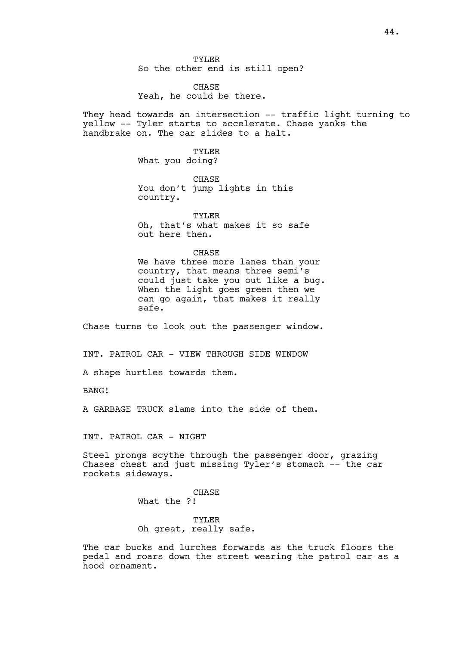TYLER So the other end is still open?

CHASE Yeah, he could be there.

They head towards an intersection -- traffic light turning to yellow -- Tyler starts to accelerate. Chase yanks the handbrake on. The car slides to a halt.

> TYLER What you doing?

CHASE You don't jump lights in this country.

TYLER

Oh, that's what makes it so safe out here then.

#### **CHASE**

We have three more lanes than your country, that means three semi's could just take you out like a bug. When the light goes green then we can go again, that makes it really safe.

Chase turns to look out the passenger window.

INT. PATROL CAR - VIEW THROUGH SIDE WINDOW

A shape hurtles towards them.

BANG!

A GARBAGE TRUCK slams into the side of them.

INT. PATROL CAR - NIGHT

Steel prongs scythe through the passenger door, grazing Chases chest and just missing Tyler's stomach -- the car rockets sideways.

# **CHASE**

What the ?!

TYLER Oh great, really safe.

The car bucks and lurches forwards as the truck floors the pedal and roars down the street wearing the patrol car as a hood ornament.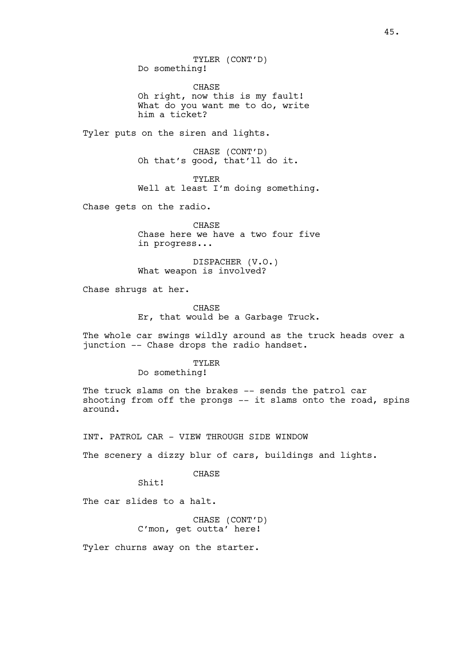TYLER (CONT'D) Do something!

CHASE Oh right, now this is my fault! What do you want me to do, write him a ticket?

Tyler puts on the siren and lights.

CHASE (CONT'D) Oh that's good, that'll do it.

TYLER Well at least I'm doing something.

Chase gets on the radio.

**CHASE** Chase here we have a two four five in progress...

DISPACHER (V.O.) What weapon is involved?

Chase shrugs at her.

CHASE Er, that would be a Garbage Truck.

The whole car swings wildly around as the truck heads over a junction -- Chase drops the radio handset.

> TYLER Do something!

The truck slams on the brakes -- sends the patrol car shooting from off the prongs -- it slams onto the road, spins around.

INT. PATROL CAR - VIEW THROUGH SIDE WINDOW

The scenery a dizzy blur of cars, buildings and lights.

CHASE

Shit!

The car slides to a halt.

CHASE (CONT'D) C'mon, get outta' here!

Tyler churns away on the starter.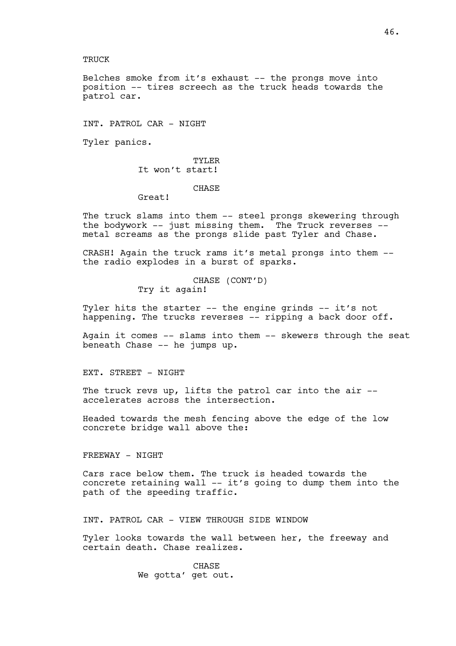Belches smoke from it's exhaust -- the prongs move into position -- tires screech as the truck heads towards the patrol car.

INT. PATROL CAR - NIGHT

Tyler panics.

TYLER It won't start!

CHASE

Great!

The truck slams into them -- steel prongs skewering through the bodywork -- just missing them. The Truck reverses - metal screams as the prongs slide past Tyler and Chase.

CRASH! Again the truck rams it's metal prongs into them - the radio explodes in a burst of sparks.

> CHASE (CONT'D) Try it again!

Tyler hits the starter -- the engine grinds -- it's not happening. The trucks reverses -- ripping a back door off.

Again it comes -- slams into them -- skewers through the seat beneath Chase -- he jumps up.

EXT. STREET - NIGHT

The truck revs up, lifts the patrol car into the air -accelerates across the intersection.

Headed towards the mesh fencing above the edge of the low concrete bridge wall above the:

FREEWAY - NIGHT

Cars race below them. The truck is headed towards the concrete retaining wall -- it's going to dump them into the path of the speeding traffic.

INT. PATROL CAR - VIEW THROUGH SIDE WINDOW

Tyler looks towards the wall between her, the freeway and certain death. Chase realizes.

> CHASE We gotta' get out.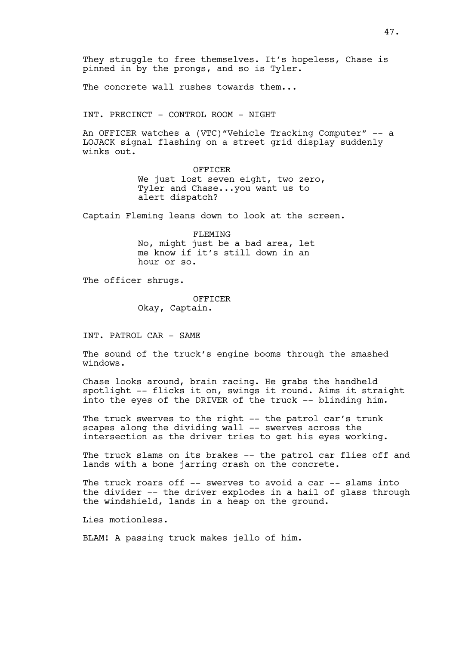INT. PRECINCT - CONTROL ROOM - NIGHT

An OFFICER watches a (VTC)"Vehicle Tracking Computer" -- a LOJACK signal flashing on a street grid display suddenly winks out.

> OFFICER We just lost seven eight, two zero, Tyler and Chase...you want us to alert dispatch?

Captain Fleming leans down to look at the screen.

FLEMING No, might just be a bad area, let me know if it's still down in an hour or so.

The officer shrugs.

OFFICER Okay, Captain.

INT. PATROL CAR - SAME

The sound of the truck's engine booms through the smashed windows.

Chase looks around, brain racing. He grabs the handheld spotlight -- flicks it on, swings it round. Aims it straight into the eyes of the DRIVER of the truck -- blinding him.

The truck swerves to the right -- the patrol car's trunk scapes along the dividing wall -- swerves across the intersection as the driver tries to get his eyes working.

The truck slams on its brakes -- the patrol car flies off and lands with a bone jarring crash on the concrete.

The truck roars off -- swerves to avoid a car -- slams into the divider -- the driver explodes in a hail of glass through the windshield, lands in a heap on the ground.

Lies motionless.

BLAM! A passing truck makes jello of him.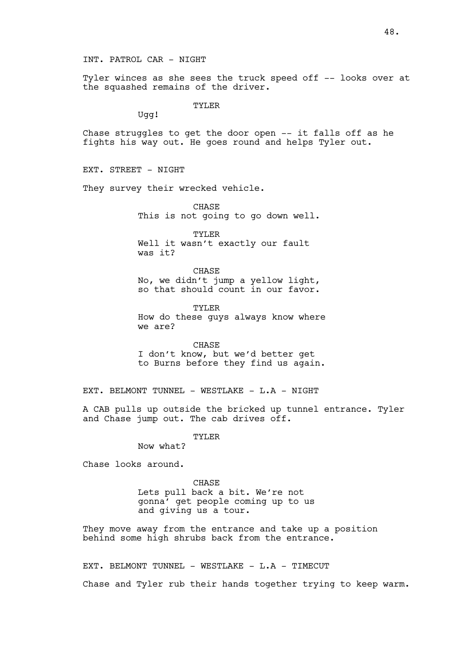#### INT. PATROL CAR - NIGHT

Tyler winces as she sees the truck speed off -- looks over at the squashed remains of the driver.

TYLER

Ugg!

Chase struggles to get the door open -- it falls off as he fights his way out. He goes round and helps Tyler out.

EXT. STREET - NIGHT

They survey their wrecked vehicle.

CHASE This is not going to go down well.

TYLER Well it wasn't exactly our fault was it?

CHASE No, we didn't jump a yellow light, so that should count in our favor.

TYLER How do these guys always know where we are?

CHASE I don't know, but we'd better get to Burns before they find us again.

EXT. BELMONT TUNNEL - WESTLAKE - L.A - NIGHT

A CAB pulls up outside the bricked up tunnel entrance. Tyler and Chase jump out. The cab drives off.

TYLER

Now what?

Chase looks around.

CHASE Lets pull back a bit. We're not gonna' get people coming up to us and giving us a tour.

They move away from the entrance and take up a position behind some high shrubs back from the entrance.

EXT. BELMONT TUNNEL - WESTLAKE -  $L.A - TIMECUT$ 

Chase and Tyler rub their hands together trying to keep warm.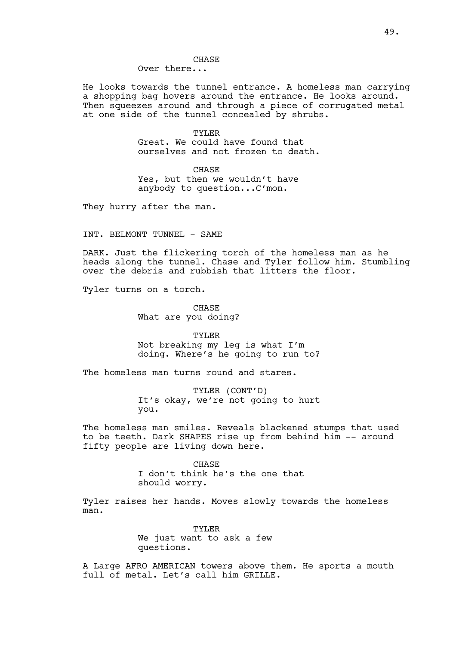CHASE

Over there...

He looks towards the tunnel entrance. A homeless man carrying a shopping bag hovers around the entrance. He looks around. Then squeezes around and through a piece of corrugated metal at one side of the tunnel concealed by shrubs.

> TYLER Great. We could have found that ourselves and not frozen to death.

CHASE Yes, but then we wouldn't have anybody to question...C'mon.

They hurry after the man.

INT. BELMONT TUNNEL - SAME

DARK. Just the flickering torch of the homeless man as he heads along the tunnel. Chase and Tyler follow him. Stumbling over the debris and rubbish that litters the floor.

Tyler turns on a torch.

CHASE What are you doing?

TYLER Not breaking my leg is what I'm doing. Where's he going to run to?

The homeless man turns round and stares.

TYLER (CONT'D) It's okay, we're not going to hurt you.

The homeless man smiles. Reveals blackened stumps that used to be teeth. Dark SHAPES rise up from behind him -- around fifty people are living down here.

> CHASE I don't think he's the one that should worry.

Tyler raises her hands. Moves slowly towards the homeless man.

> TYLER We just want to ask a few questions.

A Large AFRO AMERICAN towers above them. He sports a mouth full of metal. Let's call him GRILLE.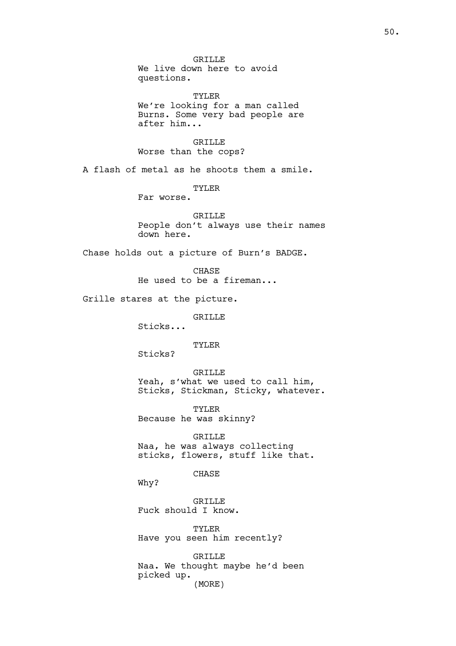GRILLE We live down here to avoid questions. TYLER We're looking for a man called Burns. Some very bad people are after him... GRILLE Worse than the cops? A flash of metal as he shoots them a smile. TYLER Far worse. GRILLE People don't always use their names down here. Chase holds out a picture of Burn's BADGE. CHASE He used to be a fireman... Grille stares at the picture. GRILLE Sticks... TYLER Sticks? GRILLE Yeah, s'what we used to call him, Sticks, Stickman, Sticky, whatever. TYLER Because he was skinny? GRILLE Naa, he was always collecting sticks, flowers, stuff like that. CHASE Why? GRILLE Fuck should I know. TYLER Have you seen him recently? GRILLE

Naa. We thought maybe he'd been picked up. (MORE)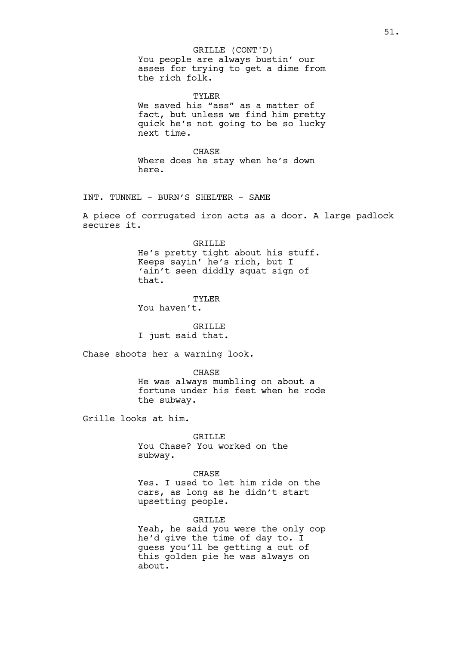GRILLE (CONT'D)

You people are always bustin' our asses for trying to get a dime from the rich folk.

TYLER We saved his "ass" as a matter of fact, but unless we find him pretty quick he's not going to be so lucky next time.

CHASE Where does he stay when he's down here.

INT. TUNNEL - BURN'S SHELTER - SAME

A piece of corrugated iron acts as a door. A large padlock secures it.

> GRILLE He's pretty tight about his stuff. Keeps sayin' he's rich, but I 'ain't seen diddly squat sign of that.

TYLER You haven't.

GRILLE I just said that.

Chase shoots her a warning look.

CHASE

He was always mumbling on about a fortune under his feet when he rode the subway.

Grille looks at him.

GRILLE

You Chase? You worked on the subway.

CHASE Yes. I used to let him ride on the cars, as long as he didn't start upsetting people.

GRILLE

Yeah, he said you were the only cop he'd give the time of day to. I guess you'll be getting a cut of this golden pie he was always on about.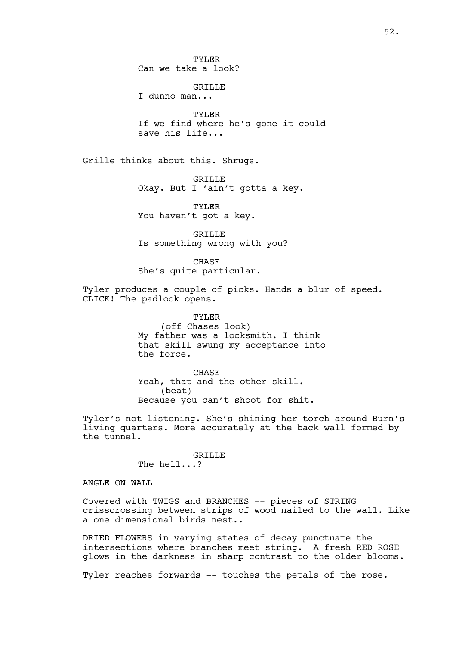TYLER Can we take a look?

GRILLE

I dunno man...

TYLER If we find where he's gone it could save his life...

Grille thinks about this. Shrugs.

GRILLE Okay. But I 'ain't gotta a key.

TYLER You haven't got a key.

GRILLE Is something wrong with you?

CHASE

She's quite particular.

Tyler produces a couple of picks. Hands a blur of speed. CLICK! The padlock opens.

> TYLER (off Chases look) My father was a locksmith. I think that skill swung my acceptance into the force.

CHASE Yeah, that and the other skill. (beat) Because you can't shoot for shit.

Tyler's not listening. She's shining her torch around Burn's living quarters. More accurately at the back wall formed by the tunnel.

> GRILLE The hell...?

ANGLE ON WALL

Covered with TWIGS and BRANCHES -- pieces of STRING crisscrossing between strips of wood nailed to the wall. Like a one dimensional birds nest..

DRIED FLOWERS in varying states of decay punctuate the intersections where branches meet string. A fresh RED ROSE glows in the darkness in sharp contrast to the older blooms.

Tyler reaches forwards -- touches the petals of the rose.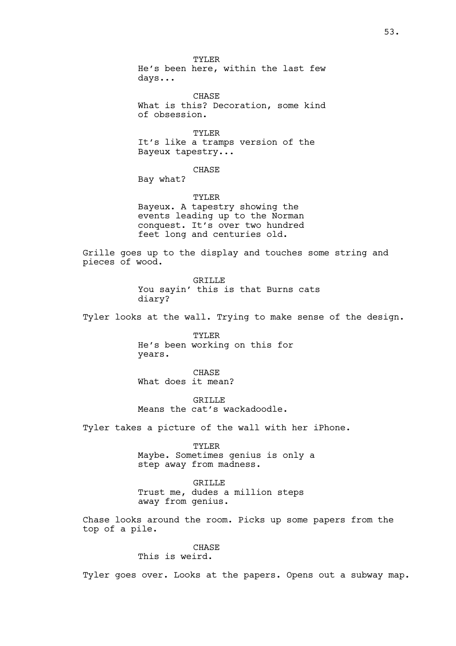TYLER He's been here, within the last few days...

CHASE What is this? Decoration, some kind of obsession.

TYLER It's like a tramps version of the Bayeux tapestry...

CHASE

Bay what?

TYLER Bayeux. A tapestry showing the events leading up to the Norman conquest. It's over two hundred feet long and centuries old.

Grille goes up to the display and touches some string and pieces of wood.

> GRILLE You sayin' this is that Burns cats diary?

Tyler looks at the wall. Trying to make sense of the design.

TYLER He's been working on this for years.

CHASE What does it mean?

GRILLE Means the cat's wackadoodle.

Tyler takes a picture of the wall with her iPhone.

TYLER Maybe. Sometimes genius is only a step away from madness.

**GRILLE** Trust me, dudes a million steps away from genius.

Chase looks around the room. Picks up some papers from the top of a pile.

> **CHASE** This is weird.

Tyler goes over. Looks at the papers. Opens out a subway map.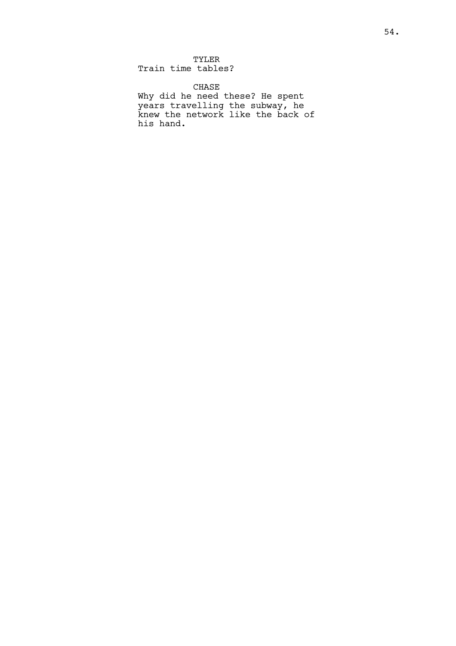Train time tables?

CHASE

Why did he need these? He spent years travelling the subway, he knew the network like the back of his hand.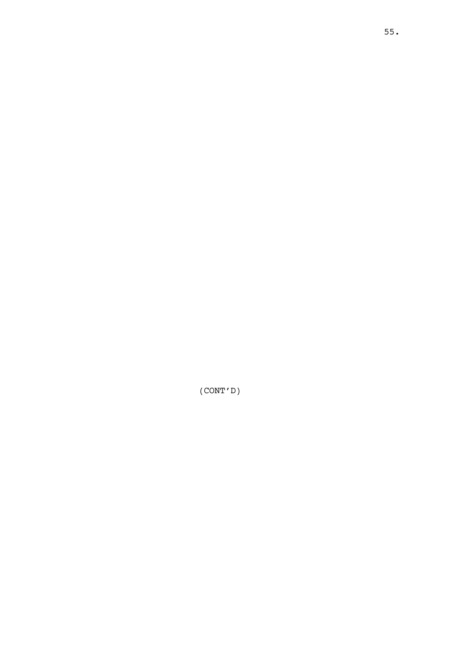(CONT'D)